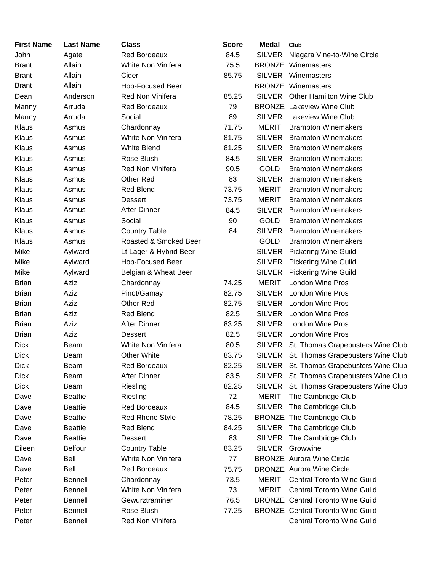| <b>First Name</b> | <b>Last Name</b> | <b>Class</b>           | <b>Score</b> | <b>Medal</b>  | Club                                     |
|-------------------|------------------|------------------------|--------------|---------------|------------------------------------------|
| John              | Agate            | <b>Red Bordeaux</b>    | 84.5         | <b>SILVER</b> | Niagara Vine-to-Wine Circle              |
| <b>Brant</b>      | Allain           | White Non Vinifera     | 75.5         |               | <b>BRONZE</b> Winemasters                |
| <b>Brant</b>      | Allain           | Cider                  | 85.75        | <b>SILVER</b> | Winemasters                              |
| <b>Brant</b>      | Allain           | Hop-Focused Beer       |              |               | <b>BRONZE Winemasters</b>                |
| Dean              | Anderson         | Red Non Vinifera       | 85.25        | SILVER        | <b>Other Hamilton Wine Club</b>          |
| Manny             | Arruda           | <b>Red Bordeaux</b>    | 79           |               | <b>BRONZE</b> Lakeview Wine Club         |
| Manny             | Arruda           | Social                 | 89           |               | SILVER Lakeview Wine Club                |
| <b>Klaus</b>      | Asmus            | Chardonnay             | 71.75        | <b>MERIT</b>  | <b>Brampton Winemakers</b>               |
| <b>Klaus</b>      | Asmus            | White Non Vinifera     | 81.75        | <b>SILVER</b> | <b>Brampton Winemakers</b>               |
| Klaus             | Asmus            | <b>White Blend</b>     | 81.25        | <b>SILVER</b> | <b>Brampton Winemakers</b>               |
| Klaus             | Asmus            | Rose Blush             | 84.5         | <b>SILVER</b> | <b>Brampton Winemakers</b>               |
| Klaus             | Asmus            | Red Non Vinifera       | 90.5         | <b>GOLD</b>   | <b>Brampton Winemakers</b>               |
| Klaus             | Asmus            | Other Red              | 83           | <b>SILVER</b> | <b>Brampton Winemakers</b>               |
| Klaus             | Asmus            | Red Blend              | 73.75        | <b>MERIT</b>  | <b>Brampton Winemakers</b>               |
| Klaus             | Asmus            | <b>Dessert</b>         | 73.75        | <b>MERIT</b>  | <b>Brampton Winemakers</b>               |
| Klaus             | Asmus            | <b>After Dinner</b>    | 84.5         | <b>SILVER</b> | <b>Brampton Winemakers</b>               |
| Klaus             | Asmus            | Social                 | 90           | <b>GOLD</b>   | <b>Brampton Winemakers</b>               |
| Klaus             | Asmus            | <b>Country Table</b>   | 84           | <b>SILVER</b> | <b>Brampton Winemakers</b>               |
| <b>Klaus</b>      | Asmus            | Roasted & Smoked Beer  |              | <b>GOLD</b>   | <b>Brampton Winemakers</b>               |
| Mike              | Aylward          | Lt Lager & Hybrid Beer |              | <b>SILVER</b> | <b>Pickering Wine Guild</b>              |
| Mike              | Aylward          | Hop-Focused Beer       |              | <b>SILVER</b> | <b>Pickering Wine Guild</b>              |
| Mike              | Aylward          | Belgian & Wheat Beer   |              | <b>SILVER</b> | <b>Pickering Wine Guild</b>              |
| <b>Brian</b>      | Aziz             | Chardonnay             | 74.25        | <b>MERIT</b>  | <b>London Wine Pros</b>                  |
| <b>Brian</b>      | Aziz             | Pinot/Gamay            | 82.75        | <b>SILVER</b> | London Wine Pros                         |
| <b>Brian</b>      | Aziz             | <b>Other Red</b>       | 82.75        |               | SILVER London Wine Pros                  |
| <b>Brian</b>      | Aziz             | <b>Red Blend</b>       | 82.5         |               | SILVER London Wine Pros                  |
| <b>Brian</b>      | Aziz             | <b>After Dinner</b>    | 83.25        |               | SILVER London Wine Pros                  |
| <b>Brian</b>      | Aziz             | Dessert                | 82.5         |               | SILVER London Wine Pros                  |
| <b>Dick</b>       | Beam             | White Non Vinifera     | 80.5         |               | SILVER St. Thomas Grapebusters Wine Club |
| <b>Dick</b>       | Beam             | <b>Other White</b>     | 83.75        |               | SILVER St. Thomas Grapebusters Wine Club |
| Dick              | Beam             | <b>Red Bordeaux</b>    | 82.25        |               | SILVER St. Thomas Grapebusters Wine Club |
| <b>Dick</b>       | Beam             | <b>After Dinner</b>    | 83.5         | SILVER        | St. Thomas Grapebusters Wine Club        |
| <b>Dick</b>       | Beam             | Riesling               | 82.25        | <b>SILVER</b> | St. Thomas Grapebusters Wine Club        |
| Dave              | <b>Beattie</b>   | Riesling               | 72           | <b>MERIT</b>  | The Cambridge Club                       |
| Dave              | <b>Beattie</b>   | Red Bordeaux           | 84.5         | <b>SILVER</b> | The Cambridge Club                       |
| Dave              | <b>Beattie</b>   | <b>Red Rhone Style</b> | 78.25        |               | <b>BRONZE</b> The Cambridge Club         |
| Dave              | <b>Beattie</b>   | <b>Red Blend</b>       | 84.25        | <b>SILVER</b> | The Cambridge Club                       |
| Dave              | <b>Beattie</b>   | <b>Dessert</b>         | 83           | <b>SILVER</b> | The Cambridge Club                       |
| Eileen            | <b>Belfour</b>   | <b>Country Table</b>   | 83.25        | <b>SILVER</b> | Growwine                                 |
| Dave              | Bell             | White Non Vinifera     | 77           |               | <b>BRONZE</b> Aurora Wine Circle         |
| Dave              | Bell             | <b>Red Bordeaux</b>    | 75.75        |               | <b>BRONZE</b> Aurora Wine Circle         |
| Peter             | <b>Bennell</b>   | Chardonnay             | 73.5         | <b>MERIT</b>  | <b>Central Toronto Wine Guild</b>        |
| Peter             | <b>Bennell</b>   | White Non Vinifera     | 73           | <b>MERIT</b>  | <b>Central Toronto Wine Guild</b>        |
| Peter             | <b>Bennell</b>   | Gewurztraminer         | 76.5         |               | <b>BRONZE</b> Central Toronto Wine Guild |
| Peter             | Bennell          | Rose Blush             | 77.25        |               | <b>BRONZE</b> Central Toronto Wine Guild |
| Peter             | <b>Bennell</b>   | Red Non Vinifera       |              |               | <b>Central Toronto Wine Guild</b>        |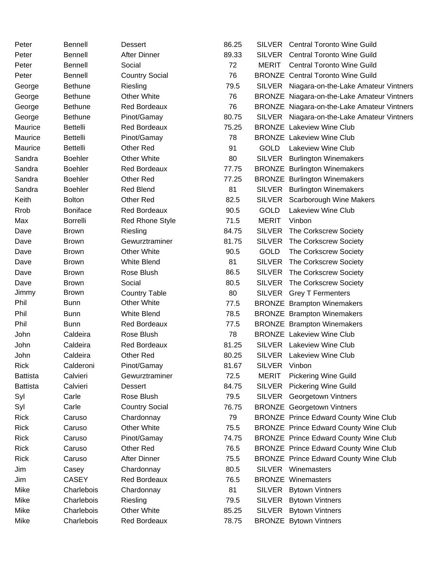| Peter           | <b>Bennell</b>  | Dessert                | 86.25 |               | SILVER Central Toronto Wine Guild            |
|-----------------|-----------------|------------------------|-------|---------------|----------------------------------------------|
| Peter           | <b>Bennell</b>  | <b>After Dinner</b>    | 89.33 | <b>SILVER</b> | <b>Central Toronto Wine Guild</b>            |
| Peter           | <b>Bennell</b>  | Social                 | 72    | MERIT         | <b>Central Toronto Wine Guild</b>            |
| Peter           | <b>Bennell</b>  | <b>Country Social</b>  | 76    |               | <b>BRONZE</b> Central Toronto Wine Guild     |
| George          | <b>Bethune</b>  | Riesling               | 79.5  |               | SILVER Niagara-on-the-Lake Amateur Vintners  |
| George          | <b>Bethune</b>  | <b>Other White</b>     | 76    |               | BRONZE Niagara-on-the-Lake Amateur Vintners  |
| George          | <b>Bethune</b>  | <b>Red Bordeaux</b>    | 76    |               | BRONZE Niagara-on-the-Lake Amateur Vintners  |
| George          | <b>Bethune</b>  | Pinot/Gamay            | 80.75 |               | SILVER Niagara-on-the-Lake Amateur Vintners  |
| Maurice         | Bettelli        | <b>Red Bordeaux</b>    | 75.25 |               | <b>BRONZE</b> Lakeview Wine Club             |
| Maurice         | <b>Bettelli</b> | Pinot/Gamay            | 78    |               | <b>BRONZE</b> Lakeview Wine Club             |
| Maurice         | <b>Bettelli</b> | <b>Other Red</b>       | 91    | <b>GOLD</b>   | <b>Lakeview Wine Club</b>                    |
| Sandra          | <b>Boehler</b>  | <b>Other White</b>     | 80    | SILVER        | <b>Burlington Winemakers</b>                 |
| Sandra          | <b>Boehler</b>  | <b>Red Bordeaux</b>    | 77.75 |               | <b>BRONZE</b> Burlington Winemakers          |
| Sandra          | <b>Boehler</b>  | Other Red              | 77.25 |               | <b>BRONZE</b> Burlington Winemakers          |
| Sandra          | <b>Boehler</b>  | <b>Red Blend</b>       | 81    | <b>SILVER</b> | <b>Burlington Winemakers</b>                 |
| Keith           | <b>Bolton</b>   | <b>Other Red</b>       | 82.5  | <b>SILVER</b> | Scarborough Wine Makers                      |
| <b>Rrob</b>     | <b>Boniface</b> | <b>Red Bordeaux</b>    | 90.5  | <b>GOLD</b>   | Lakeview Wine Club                           |
| Max             | <b>Borrelli</b> | <b>Red Rhone Style</b> | 71.5  | <b>MERIT</b>  | Vinbon                                       |
| Dave            | <b>Brown</b>    | Riesling               | 84.75 | <b>SILVER</b> | The Corkscrew Society                        |
| Dave            | <b>Brown</b>    | Gewurztraminer         | 81.75 | <b>SILVER</b> | The Corkscrew Society                        |
| Dave            | <b>Brown</b>    | <b>Other White</b>     | 90.5  | <b>GOLD</b>   | The Corkscrew Society                        |
| Dave            | <b>Brown</b>    | White Blend            | 81    |               | SILVER The Corkscrew Society                 |
| Dave            | <b>Brown</b>    | Rose Blush             | 86.5  |               | SILVER The Corkscrew Society                 |
| Dave            | <b>Brown</b>    | Social                 | 80.5  | <b>SILVER</b> | The Corkscrew Society                        |
| Jimmy           | <b>Brown</b>    | <b>Country Table</b>   | 80    | SILVER        | <b>Grey T Fermenters</b>                     |
| Phil            | <b>Bunn</b>     | <b>Other White</b>     | 77.5  |               | <b>BRONZE</b> Brampton Winemakers            |
| Phil            | Bunn            | <b>White Blend</b>     | 78.5  |               | <b>BRONZE</b> Brampton Winemakers            |
| Phil            | <b>Bunn</b>     | <b>Red Bordeaux</b>    | 77.5  |               | <b>BRONZE</b> Brampton Winemakers            |
| John            | Caldeira        | Rose Blush             | 78    |               | <b>BRONZE</b> Lakeview Wine Club             |
| John            | Caldeira        | <b>Red Bordeaux</b>    | 81.25 |               | SILVER Lakeview Wine Club                    |
| John            | Caldeira        | <b>Other Red</b>       | 80.25 |               | SILVER Lakeview Wine Club                    |
| <b>Rick</b>     | Calderoni       | Pinot/Gamay            | 81.67 | <b>SILVER</b> | Vinbon                                       |
| <b>Battista</b> | Calvieri        | Gewurztraminer         | 72.5  | <b>MERIT</b>  | <b>Pickering Wine Guild</b>                  |
| <b>Battista</b> | Calvieri        | <b>Dessert</b>         | 84.75 | <b>SILVER</b> | <b>Pickering Wine Guild</b>                  |
| Syl             | Carle           | Rose Blush             | 79.5  | <b>SILVER</b> | <b>Georgetown Vintners</b>                   |
| Syl             | Carle           | <b>Country Social</b>  | 76.75 |               | <b>BRONZE</b> Georgetown Vintners            |
| <b>Rick</b>     | Caruso          | Chardonnay             | 79    |               | <b>BRONZE Prince Edward County Wine Club</b> |
| <b>Rick</b>     | Caruso          | <b>Other White</b>     | 75.5  |               | <b>BRONZE</b> Prince Edward County Wine Club |
| <b>Rick</b>     | Caruso          | Pinot/Gamay            | 74.75 |               | <b>BRONZE Prince Edward County Wine Club</b> |
| <b>Rick</b>     | Caruso          | Other Red              | 76.5  |               | <b>BRONZE</b> Prince Edward County Wine Club |
| <b>Rick</b>     | Caruso          | <b>After Dinner</b>    | 75.5  |               | <b>BRONZE Prince Edward County Wine Club</b> |
| Jim             | Casey           | Chardonnay             | 80.5  |               | SILVER Winemasters                           |
| Jim             | <b>CASEY</b>    | <b>Red Bordeaux</b>    | 76.5  |               | <b>BRONZE Winemasters</b>                    |
| Mike            | Charlebois      | Chardonnay             | 81    |               | SILVER Bytown Vintners                       |
| Mike            | Charlebois      | Riesling               | 79.5  | SILVER        | <b>Bytown Vintners</b>                       |
| Mike            | Charlebois      | <b>Other White</b>     | 85.25 |               | SILVER Bytown Vintners                       |
| Mike            | Charlebois      | <b>Red Bordeaux</b>    | 78.75 |               | <b>BRONZE</b> Bytown Vintners                |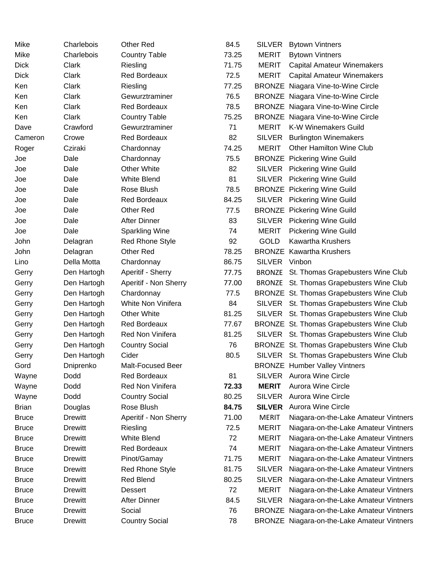| Mike         | Charlebois     | Other Red              | 84.5  | <b>SILVER</b> | <b>Bytown Vintners</b>                      |
|--------------|----------------|------------------------|-------|---------------|---------------------------------------------|
| Mike         | Charlebois     | <b>Country Table</b>   | 73.25 | <b>MERIT</b>  | <b>Bytown Vintners</b>                      |
| <b>Dick</b>  | Clark          | Riesling               | 71.75 | <b>MERIT</b>  | <b>Capital Amateur Winemakers</b>           |
| <b>Dick</b>  | Clark          | <b>Red Bordeaux</b>    | 72.5  | <b>MERIT</b>  | <b>Capital Amateur Winemakers</b>           |
| Ken          | Clark          | Riesling               | 77.25 |               | <b>BRONZE</b> Niagara Vine-to-Wine Circle   |
| Ken          | Clark          | Gewurztraminer         | 76.5  |               | <b>BRONZE</b> Niagara Vine-to-Wine Circle   |
| Ken          | Clark          | <b>Red Bordeaux</b>    | 78.5  |               | <b>BRONZE</b> Niagara Vine-to-Wine Circle   |
| Ken          | Clark          | <b>Country Table</b>   | 75.25 |               | <b>BRONZE</b> Niagara Vine-to-Wine Circle   |
| Dave         | Crawford       | Gewurztraminer         | 71    | <b>MERIT</b>  | K-W Winemakers Guild                        |
| Cameron      | Crowe          | <b>Red Bordeaux</b>    | 82    | SILVER        | <b>Burlington Winemakers</b>                |
| Roger        | Cziraki        | Chardonnay             | 74.25 | <b>MERIT</b>  | <b>Other Hamilton Wine Club</b>             |
| Joe          | Dale           | Chardonnay             | 75.5  |               | <b>BRONZE</b> Pickering Wine Guild          |
| Joe          | Dale           | <b>Other White</b>     | 82    | <b>SILVER</b> | <b>Pickering Wine Guild</b>                 |
| Joe          | Dale           | <b>White Blend</b>     | 81    | <b>SILVER</b> | <b>Pickering Wine Guild</b>                 |
| Joe          | Dale           | Rose Blush             | 78.5  |               | <b>BRONZE</b> Pickering Wine Guild          |
| Joe          | Dale           | <b>Red Bordeaux</b>    | 84.25 |               | SILVER Pickering Wine Guild                 |
| Joe          | Dale           | <b>Other Red</b>       | 77.5  |               | <b>BRONZE</b> Pickering Wine Guild          |
| Joe          | Dale           | <b>After Dinner</b>    | 83    |               | SILVER Pickering Wine Guild                 |
| Joe          | Dale           | <b>Sparkling Wine</b>  | 74    | <b>MERIT</b>  | <b>Pickering Wine Guild</b>                 |
| John         | Delagran       | <b>Red Rhone Style</b> | 92    | <b>GOLD</b>   | <b>Kawartha Krushers</b>                    |
| John         | Delagran       | Other Red              | 78.25 |               | <b>BRONZE</b> Kawartha Krushers             |
| Lino         | Della Motta    | Chardonnay             | 86.75 | SILVER Vinbon |                                             |
| Gerry        | Den Hartogh    | Aperitif - Sherry      | 77.75 |               | BRONZE St. Thomas Grapebusters Wine Club    |
| Gerry        | Den Hartogh    | Aperitif - Non Sherry  | 77.00 |               | BRONZE St. Thomas Grapebusters Wine Club    |
| Gerry        | Den Hartogh    | Chardonnay             | 77.5  |               | BRONZE St. Thomas Grapebusters Wine Club    |
| Gerry        | Den Hartogh    | White Non Vinifera     | 84    |               | SILVER St. Thomas Grapebusters Wine Club    |
| Gerry        | Den Hartogh    | <b>Other White</b>     | 81.25 |               | SILVER St. Thomas Grapebusters Wine Club    |
| Gerry        | Den Hartogh    | <b>Red Bordeaux</b>    | 77.67 |               | BRONZE St. Thomas Grapebusters Wine Club    |
| Gerry        | Den Hartogh    | Red Non Vinifera       | 81.25 |               | SILVER St. Thomas Grapebusters Wine Club    |
| Gerry        | Den Hartogh    | <b>Country Social</b>  | 76    |               | BRONZE St. Thomas Grapebusters Wine Club    |
| Gerry        | Den Hartogh    | Cider                  | 80.5  |               | SILVER St. Thomas Grapebusters Wine Club    |
| Gord         | Dniprenko      | Malt-Focused Beer      |       |               | <b>BRONZE</b> Humber Valley Vintners        |
| Wayne        | Dodd           | Red Bordeaux           | 81    |               | SILVER Aurora Wine Circle                   |
| Wayne        | Dodd           | Red Non Vinifera       | 72.33 | <b>MERIT</b>  | <b>Aurora Wine Circle</b>                   |
| Wayne        | Dodd           | <b>Country Social</b>  | 80.25 | <b>SILVER</b> | <b>Aurora Wine Circle</b>                   |
| <b>Brian</b> | Douglas        | Rose Blush             | 84.75 | <b>SILVER</b> | <b>Aurora Wine Circle</b>                   |
| <b>Bruce</b> | Drewitt        | Aperitif - Non Sherry  | 71.00 | <b>MERIT</b>  | Niagara-on-the-Lake Amateur Vintners        |
| <b>Bruce</b> | <b>Drewitt</b> | Riesling               | 72.5  | <b>MERIT</b>  | Niagara-on-the-Lake Amateur Vintners        |
| <b>Bruce</b> | <b>Drewitt</b> | White Blend            | 72    | <b>MERIT</b>  | Niagara-on-the-Lake Amateur Vintners        |
| <b>Bruce</b> | Drewitt        | <b>Red Bordeaux</b>    | 74    | <b>MERIT</b>  | Niagara-on-the-Lake Amateur Vintners        |
| <b>Bruce</b> | Drewitt        | Pinot/Gamay            | 71.75 | <b>MERIT</b>  | Niagara-on-the-Lake Amateur Vintners        |
| <b>Bruce</b> | Drewitt        | <b>Red Rhone Style</b> | 81.75 | <b>SILVER</b> | Niagara-on-the-Lake Amateur Vintners        |
| <b>Bruce</b> | Drewitt        | <b>Red Blend</b>       | 80.25 | <b>SILVER</b> | Niagara-on-the-Lake Amateur Vintners        |
| <b>Bruce</b> | Drewitt        | <b>Dessert</b>         | 72    | <b>MERIT</b>  | Niagara-on-the-Lake Amateur Vintners        |
| <b>Bruce</b> | Drewitt        | <b>After Dinner</b>    | 84.5  | <b>SILVER</b> | Niagara-on-the-Lake Amateur Vintners        |
| <b>Bruce</b> | <b>Drewitt</b> | Social                 | 76    |               | BRONZE Niagara-on-the-Lake Amateur Vintners |
| <b>Bruce</b> | <b>Drewitt</b> | <b>Country Social</b>  | 78    |               | BRONZE Niagara-on-the-Lake Amateur Vintners |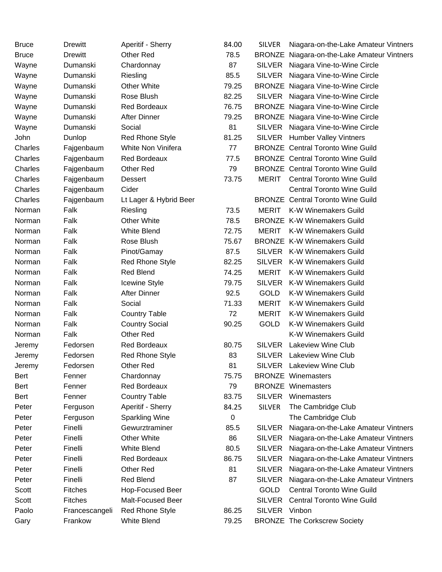| <b>Bruce</b> | <b>Drewitt</b> | Aperitif - Sherry      | 84.00 | <b>SILVER</b> | Niagara-on-the-Lake Amateur Vintners        |
|--------------|----------------|------------------------|-------|---------------|---------------------------------------------|
| <b>Bruce</b> | <b>Drewitt</b> | Other Red              | 78.5  |               | BRONZE Niagara-on-the-Lake Amateur Vintners |
| Wayne        | Dumanski       | Chardonnay             | 87    | <b>SILVER</b> | Niagara Vine-to-Wine Circle                 |
| Wayne        | Dumanski       | Riesling               | 85.5  | <b>SILVER</b> | Niagara Vine-to-Wine Circle                 |
| Wayne        | Dumanski       | <b>Other White</b>     | 79.25 |               | <b>BRONZE</b> Niagara Vine-to-Wine Circle   |
| Wayne        | Dumanski       | Rose Blush             | 82.25 | <b>SILVER</b> | Niagara Vine-to-Wine Circle                 |
| Wayne        | Dumanski       | <b>Red Bordeaux</b>    | 76.75 |               | <b>BRONZE</b> Niagara Vine-to-Wine Circle   |
| Wayne        | Dumanski       | <b>After Dinner</b>    | 79.25 |               | <b>BRONZE</b> Niagara Vine-to-Wine Circle   |
| Wayne        | Dumanski       | Social                 | 81    | SILVER        | Niagara Vine-to-Wine Circle                 |
| John         | Dunlop         | Red Rhone Style        | 81.25 |               | SILVER Humber Valley Vintners               |
| Charles      | Fajgenbaum     | White Non Vinifera     | 77    |               | <b>BRONZE</b> Central Toronto Wine Guild    |
| Charles      | Fajgenbaum     | <b>Red Bordeaux</b>    | 77.5  |               | <b>BRONZE</b> Central Toronto Wine Guild    |
| Charles      | Fajgenbaum     | Other Red              | 79    |               | <b>BRONZE</b> Central Toronto Wine Guild    |
| Charles      | Fajgenbaum     | <b>Dessert</b>         | 73.75 | <b>MERIT</b>  | <b>Central Toronto Wine Guild</b>           |
| Charles      | Fajgenbaum     | Cider                  |       |               | <b>Central Toronto Wine Guild</b>           |
| Charles      | Fajgenbaum     | Lt Lager & Hybrid Beer |       |               | <b>BRONZE</b> Central Toronto Wine Guild    |
| Norman       | Falk           | Riesling               | 73.5  | <b>MERIT</b>  | <b>K-W Winemakers Guild</b>                 |
| Norman       | Falk           | <b>Other White</b>     | 78.5  |               | <b>BRONZE K-W Winemakers Guild</b>          |
| Norman       | Falk           | <b>White Blend</b>     | 72.75 | <b>MERIT</b>  | K-W Winemakers Guild                        |
| Norman       | Falk           | Rose Blush             | 75.67 |               | <b>BRONZE K-W Winemakers Guild</b>          |
| Norman       | Falk           | Pinot/Gamay            | 87.5  |               | SILVER K-W Winemakers Guild                 |
| Norman       | Falk           | <b>Red Rhone Style</b> | 82.25 | <b>SILVER</b> | <b>K-W Winemakers Guild</b>                 |
| Norman       | Falk           | <b>Red Blend</b>       | 74.25 | <b>MERIT</b>  | <b>K-W Winemakers Guild</b>                 |
| Norman       | Falk           | <b>Icewine Style</b>   | 79.75 | <b>SILVER</b> | <b>K-W Winemakers Guild</b>                 |
| Norman       | Falk           | <b>After Dinner</b>    | 92.5  | <b>GOLD</b>   | <b>K-W Winemakers Guild</b>                 |
| Norman       | Falk           | Social                 | 71.33 | <b>MERIT</b>  | <b>K-W Winemakers Guild</b>                 |
| Norman       | Falk           | <b>Country Table</b>   | 72    | <b>MERIT</b>  | <b>K-W Winemakers Guild</b>                 |
| Norman       | Falk           | <b>Country Social</b>  | 90.25 | GOLD          | <b>K-W Winemakers Guild</b>                 |
| Norman       | Falk           | Other Red              |       |               | <b>K-W Winemakers Guild</b>                 |
| Jeremy       | Fedorsen       | <b>Red Bordeaux</b>    | 80.75 | <b>SILVER</b> | <b>Lakeview Wine Club</b>                   |
| Jeremy       | Fedorsen       | <b>Red Rhone Style</b> | 83    |               | SILVER Lakeview Wine Club                   |
| Jeremy       | Fedorsen       | Other Red              | 81    |               | SILVER Lakeview Wine Club                   |
| Bert         | Fenner         | Chardonnay             | 75.75 |               | <b>BRONZE Winemasters</b>                   |
| Bert         | Fenner         | <b>Red Bordeaux</b>    | 79    |               | <b>BRONZE</b> Winemasters                   |
| Bert         | Fenner         | <b>Country Table</b>   | 83.75 | <b>SILVER</b> | Winemasters                                 |
| Peter        | Ferguson       | Aperitif - Sherry      | 84.25 | <b>SILVER</b> | The Cambridge Club                          |
| Peter        | Ferguson       | <b>Sparkling Wine</b>  | 0     |               | The Cambridge Club                          |
| Peter        | Finelli        | Gewurztraminer         | 85.5  | <b>SILVER</b> | Niagara-on-the-Lake Amateur Vintners        |
| Peter        | Finelli        | <b>Other White</b>     | 86    | <b>SILVER</b> | Niagara-on-the-Lake Amateur Vintners        |
| Peter        | Finelli        | <b>White Blend</b>     | 80.5  | <b>SILVER</b> | Niagara-on-the-Lake Amateur Vintners        |
| Peter        | Finelli        | Red Bordeaux           | 86.75 | <b>SILVER</b> | Niagara-on-the-Lake Amateur Vintners        |
| Peter        | Finelli        | <b>Other Red</b>       | 81    | <b>SILVER</b> | Niagara-on-the-Lake Amateur Vintners        |
| Peter        | Finelli        | <b>Red Blend</b>       | 87    | <b>SILVER</b> | Niagara-on-the-Lake Amateur Vintners        |
| Scott        | <b>Fitches</b> | Hop-Focused Beer       |       | <b>GOLD</b>   | <b>Central Toronto Wine Guild</b>           |
| Scott        | <b>Fitches</b> | Malt-Focused Beer      |       | <b>SILVER</b> | <b>Central Toronto Wine Guild</b>           |
| Paolo        | Francescangeli | Red Rhone Style        | 86.25 | SILVER Vinbon |                                             |
| Gary         | Frankow        | White Blend            | 79.25 |               | <b>BRONZE The Corkscrew Society</b>         |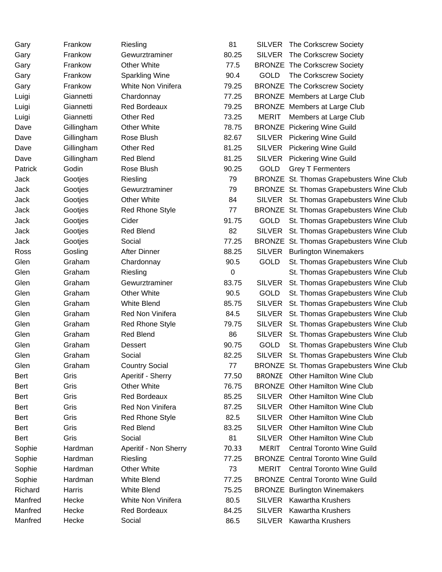| Gary    | Frankow    | Riesling               | 81    |               | SILVER The Corkscrew Society             |
|---------|------------|------------------------|-------|---------------|------------------------------------------|
| Gary    | Frankow    | Gewurztraminer         | 80.25 | <b>SILVER</b> | The Corkscrew Society                    |
| Gary    | Frankow    | <b>Other White</b>     | 77.5  |               | <b>BRONZE The Corkscrew Society</b>      |
| Gary    | Frankow    | <b>Sparkling Wine</b>  | 90.4  | <b>GOLD</b>   | The Corkscrew Society                    |
| Gary    | Frankow    | White Non Vinifera     | 79.25 |               | <b>BRONZE The Corkscrew Society</b>      |
| Luigi   | Giannetti  | Chardonnay             | 77.25 |               | <b>BRONZE</b> Members at Large Club      |
| Luigi   | Giannetti  | <b>Red Bordeaux</b>    | 79.25 |               | <b>BRONZE</b> Members at Large Club      |
| Luigi   | Giannetti  | Other Red              | 73.25 | <b>MERIT</b>  | Members at Large Club                    |
| Dave    | Gillingham | Other White            | 78.75 |               | <b>BRONZE</b> Pickering Wine Guild       |
| Dave    | Gillingham | Rose Blush             | 82.67 |               | SILVER Pickering Wine Guild              |
| Dave    | Gillingham | Other Red              | 81.25 | <b>SILVER</b> | <b>Pickering Wine Guild</b>              |
| Dave    | Gillingham | <b>Red Blend</b>       | 81.25 | <b>SILVER</b> | <b>Pickering Wine Guild</b>              |
| Patrick | Godin      | Rose Blush             | 90.25 | <b>GOLD</b>   | <b>Grey T Fermenters</b>                 |
| Jack    | Gootjes    | Riesling               | 79    |               | BRONZE St. Thomas Grapebusters Wine Club |
| Jack    | Gootjes    | Gewurztraminer         | 79    |               | BRONZE St. Thomas Grapebusters Wine Club |
| Jack    | Gootjes    | <b>Other White</b>     | 84    |               | SILVER St. Thomas Grapebusters Wine Club |
| Jack    | Gootjes    | <b>Red Rhone Style</b> | 77    |               | BRONZE St. Thomas Grapebusters Wine Club |
| Jack    | Gootjes    | Cider                  | 91.75 | <b>GOLD</b>   | St. Thomas Grapebusters Wine Club        |
| Jack    | Gootjes    | <b>Red Blend</b>       | 82    | <b>SILVER</b> | St. Thomas Grapebusters Wine Club        |
| Jack    | Gootjes    | Social                 | 77.25 |               | BRONZE St. Thomas Grapebusters Wine Club |
| Ross    | Gosling    | <b>After Dinner</b>    | 88.25 | <b>SILVER</b> | <b>Burlington Winemakers</b>             |
| Glen    | Graham     | Chardonnay             | 90.5  | <b>GOLD</b>   | St. Thomas Grapebusters Wine Club        |
| Glen    | Graham     | Riesling               | 0     |               | St. Thomas Grapebusters Wine Club        |
| Glen    | Graham     | Gewurztraminer         | 83.75 | <b>SILVER</b> | St. Thomas Grapebusters Wine Club        |
| Glen    | Graham     | <b>Other White</b>     | 90.5  | <b>GOLD</b>   | St. Thomas Grapebusters Wine Club        |
| Glen    | Graham     | <b>White Blend</b>     | 85.75 | <b>SILVER</b> | St. Thomas Grapebusters Wine Club        |
| Glen    | Graham     | Red Non Vinifera       | 84.5  | <b>SILVER</b> | St. Thomas Grapebusters Wine Club        |
| Glen    | Graham     | <b>Red Rhone Style</b> | 79.75 |               | SILVER St. Thomas Grapebusters Wine Club |
| Glen    | Graham     | <b>Red Blend</b>       | 86    | <b>SILVER</b> | St. Thomas Grapebusters Wine Club        |
| Glen    | Graham     | <b>Dessert</b>         | 90.75 | <b>GOLD</b>   | St. Thomas Grapebusters Wine Club        |
| Glen    | Graham     | Social                 | 82.25 |               | SILVER St. Thomas Grapebusters Wine Club |
| Glen    | Graham     | <b>Country Social</b>  | 77    |               | BRONZE St. Thomas Grapebusters Wine Club |
| Bert    | Gris       | Aperitif - Sherry      | 77.50 | <b>BRONZE</b> | <b>Other Hamilton Wine Club</b>          |
| Bert    | Gris       | <b>Other White</b>     | 76.75 |               | <b>BRONZE</b> Other Hamilton Wine Club   |
| Bert    | Gris       | <b>Red Bordeaux</b>    | 85.25 |               | SILVER Other Hamilton Wine Club          |
| Bert    | Gris       | Red Non Vinifera       | 87.25 | <b>SILVER</b> | <b>Other Hamilton Wine Club</b>          |
| Bert    | Gris       | <b>Red Rhone Style</b> | 82.5  | <b>SILVER</b> | <b>Other Hamilton Wine Club</b>          |
| Bert    | Gris       | <b>Red Blend</b>       | 83.25 | <b>SILVER</b> | <b>Other Hamilton Wine Club</b>          |
| Bert    | Gris       | Social                 | 81    | <b>SILVER</b> | <b>Other Hamilton Wine Club</b>          |
| Sophie  | Hardman    | Aperitif - Non Sherry  | 70.33 | <b>MERIT</b>  | <b>Central Toronto Wine Guild</b>        |
| Sophie  | Hardman    | Riesling               | 77.25 |               | <b>BRONZE</b> Central Toronto Wine Guild |
| Sophie  | Hardman    | <b>Other White</b>     | 73    | <b>MERIT</b>  | <b>Central Toronto Wine Guild</b>        |
| Sophie  | Hardman    | <b>White Blend</b>     | 77.25 |               | <b>BRONZE</b> Central Toronto Wine Guild |
| Richard | Harris     | <b>White Blend</b>     | 75.25 |               | <b>BRONZE</b> Burlington Winemakers      |
| Manfred | Hecke      | White Non Vinifera     | 80.5  | <b>SILVER</b> | <b>Kawartha Krushers</b>                 |
| Manfred | Hecke      | <b>Red Bordeaux</b>    | 84.25 | <b>SILVER</b> | <b>Kawartha Krushers</b>                 |
| Manfred | Hecke      | Social                 | 86.5  | <b>SILVER</b> | <b>Kawartha Krushers</b>                 |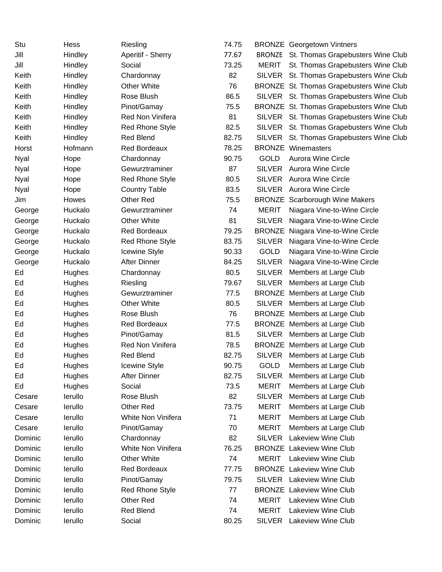| Stu     | <b>Hess</b> | Riesling               | 74.75 |               | <b>BRONZE</b> Georgetown Vintners         |
|---------|-------------|------------------------|-------|---------------|-------------------------------------------|
| Jill    | Hindley     | Aperitif - Sherry      | 77.67 | <b>BRONZE</b> | St. Thomas Grapebusters Wine Club         |
| Jill    | Hindley     | Social                 | 73.25 | <b>MERIT</b>  | St. Thomas Grapebusters Wine Club         |
| Keith   | Hindley     | Chardonnay             | 82    | SILVER        | St. Thomas Grapebusters Wine Club         |
| Keith   | Hindley     | <b>Other White</b>     | 76    |               | BRONZE St. Thomas Grapebusters Wine Club  |
| Keith   | Hindley     | Rose Blush             | 86.5  |               | SILVER St. Thomas Grapebusters Wine Club  |
| Keith   | Hindley     | Pinot/Gamay            | 75.5  |               | BRONZE St. Thomas Grapebusters Wine Club  |
| Keith   | Hindley     | Red Non Vinifera       | 81    |               | SILVER St. Thomas Grapebusters Wine Club  |
| Keith   | Hindley     | <b>Red Rhone Style</b> | 82.5  | SILVER        | St. Thomas Grapebusters Wine Club         |
| Keith   | Hindley     | <b>Red Blend</b>       | 82.75 |               | SILVER St. Thomas Grapebusters Wine Club  |
| Horst   | Hofmann     | <b>Red Bordeaux</b>    | 78.25 |               | <b>BRONZE</b> Winemasters                 |
| Nyal    | Hope        | Chardonnay             | 90.75 | <b>GOLD</b>   | <b>Aurora Wine Circle</b>                 |
| Nyal    | Hope        | Gewurztraminer         | 87    | <b>SILVER</b> | <b>Aurora Wine Circle</b>                 |
| Nyal    | Hope        | <b>Red Rhone Style</b> | 80.5  | <b>SILVER</b> | <b>Aurora Wine Circle</b>                 |
| Nyal    | Hope        | <b>Country Table</b>   | 83.5  |               | SILVER Aurora Wine Circle                 |
| Jim     | Howes       | Other Red              | 75.5  |               | <b>BRONZE</b> Scarborough Wine Makers     |
| George  | Huckalo     | Gewurztraminer         | 74    | <b>MERIT</b>  | Niagara Vine-to-Wine Circle               |
| George  | Huckalo     | <b>Other White</b>     | 81    | <b>SILVER</b> | Niagara Vine-to-Wine Circle               |
| George  | Huckalo     | <b>Red Bordeaux</b>    | 79.25 |               | <b>BRONZE</b> Niagara Vine-to-Wine Circle |
| George  | Huckalo     | <b>Red Rhone Style</b> | 83.75 |               | SILVER Niagara Vine-to-Wine Circle        |
| George  | Huckalo     | <b>Icewine Style</b>   | 90.33 | <b>GOLD</b>   | Niagara Vine-to-Wine Circle               |
| George  | Huckalo     | <b>After Dinner</b>    | 84.25 | <b>SILVER</b> | Niagara Vine-to-Wine Circle               |
| Ed      | Hughes      | Chardonnay             | 80.5  | <b>SILVER</b> | Members at Large Club                     |
| Ed      | Hughes      | Riesling               | 79.67 | <b>SILVER</b> | Members at Large Club                     |
| Ed      | Hughes      | Gewurztraminer         | 77.5  |               | <b>BRONZE</b> Members at Large Club       |
| Ed      | Hughes      | <b>Other White</b>     | 80.5  |               | SILVER Members at Large Club              |
| Ed      | Hughes      | Rose Blush             | 76    |               | <b>BRONZE</b> Members at Large Club       |
| Ed      | Hughes      | <b>Red Bordeaux</b>    | 77.5  |               | <b>BRONZE</b> Members at Large Club       |
| Ed      | Hughes      | Pinot/Gamay            | 81.5  |               | SILVER Members at Large Club              |
| Ed      | Hughes      | Red Non Vinifera       | 78.5  |               | <b>BRONZE</b> Members at Large Club       |
| Ed      | Hughes      | <b>Red Blend</b>       | 82.75 |               | SILVER Members at Large Club              |
| Ed      | Hughes      | Icewine Style          | 90.75 | <b>GOLD</b>   | Members at Large Club                     |
| Ed      | Hughes      | <b>After Dinner</b>    | 82.75 | <b>SILVER</b> | Members at Large Club                     |
| Ed      | Hughes      | Social                 | 73.5  | <b>MERIT</b>  | Members at Large Club                     |
| Cesare  | lerullo     | Rose Blush             | 82    | <b>SILVER</b> | Members at Large Club                     |
| Cesare  | lerullo     | Other Red              | 73.75 | <b>MERIT</b>  | Members at Large Club                     |
| Cesare  | lerullo     | White Non Vinifera     | 71    | <b>MERIT</b>  | Members at Large Club                     |
| Cesare  | lerullo     | Pinot/Gamay            | 70    | <b>MERIT</b>  | Members at Large Club                     |
| Dominic | lerullo     | Chardonnay             | 82    | <b>SILVER</b> | Lakeview Wine Club                        |
| Dominic | lerullo     | White Non Vinifera     | 76.25 |               | <b>BRONZE</b> Lakeview Wine Club          |
| Dominic | lerullo     | <b>Other White</b>     | 74    | <b>MERIT</b>  | Lakeview Wine Club                        |
| Dominic | lerullo     | <b>Red Bordeaux</b>    | 77.75 |               | <b>BRONZE</b> Lakeview Wine Club          |
| Dominic | lerullo     | Pinot/Gamay            | 79.75 | <b>SILVER</b> | <b>Lakeview Wine Club</b>                 |
| Dominic | lerullo     | <b>Red Rhone Style</b> | 77    |               | <b>BRONZE</b> Lakeview Wine Club          |
| Dominic | lerullo     | Other Red              | 74    | <b>MERIT</b>  | Lakeview Wine Club                        |
| Dominic | lerullo     | <b>Red Blend</b>       | 74    | <b>MERIT</b>  | Lakeview Wine Club                        |
| Dominic | lerullo     | Social                 | 80.25 | <b>SILVER</b> | Lakeview Wine Club                        |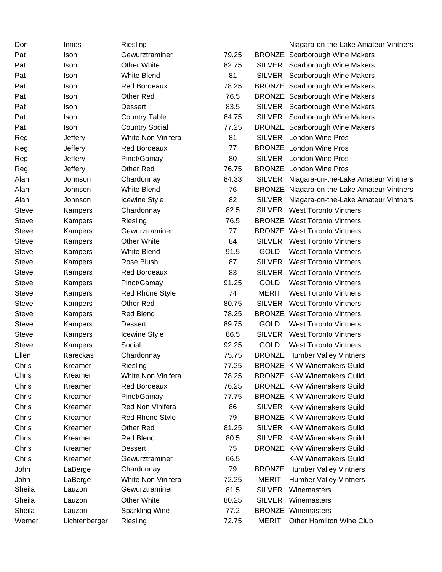| Don          | Innes          | Riesling               |       |               | Niagara-on-the-Lake Amateur Vintners        |
|--------------|----------------|------------------------|-------|---------------|---------------------------------------------|
| Pat          | Ison           | Gewurztraminer         | 79.25 |               | <b>BRONZE</b> Scarborough Wine Makers       |
| Pat          | Ison           | <b>Other White</b>     | 82.75 |               | SILVER Scarborough Wine Makers              |
| Pat          | Ison           | <b>White Blend</b>     | 81    |               | SILVER Scarborough Wine Makers              |
| Pat          | <b>Ison</b>    | <b>Red Bordeaux</b>    | 78.25 |               | <b>BRONZE</b> Scarborough Wine Makers       |
| Pat          | Ison           | Other Red              | 76.5  |               | <b>BRONZE</b> Scarborough Wine Makers       |
| Pat          | Ison           | <b>Dessert</b>         | 83.5  |               | SILVER Scarborough Wine Makers              |
| Pat          | Ison           | <b>Country Table</b>   | 84.75 |               | SILVER Scarborough Wine Makers              |
| Pat          | Ison           | <b>Country Social</b>  | 77.25 |               | <b>BRONZE</b> Scarborough Wine Makers       |
| Reg          | Jeffery        | White Non Vinifera     | 81    |               | SILVER London Wine Pros                     |
| Reg          | <b>Jeffery</b> | <b>Red Bordeaux</b>    | 77    |               | <b>BRONZE</b> London Wine Pros              |
| Reg          | <b>Jeffery</b> | Pinot/Gamay            | 80    |               | SILVER London Wine Pros                     |
| Reg          | <b>Jeffery</b> | Other Red              | 76.75 |               | <b>BRONZE</b> London Wine Pros              |
| Alan         | Johnson        | Chardonnay             | 84.33 |               | SILVER Niagara-on-the-Lake Amateur Vintners |
| Alan         | Johnson        | <b>White Blend</b>     | 76    |               | BRONZE Niagara-on-the-Lake Amateur Vintners |
| Alan         | Johnson        | Icewine Style          | 82    | <b>SILVER</b> | Niagara-on-the-Lake Amateur Vintners        |
| <b>Steve</b> | Kampers        | Chardonnay             | 82.5  |               | <b>SILVER</b> West Toronto Vintners         |
| <b>Steve</b> | Kampers        | Riesling               | 76.5  |               | <b>BRONZE</b> West Toronto Vintners         |
| Steve        | Kampers        | Gewurztraminer         | 77    |               | <b>BRONZE</b> West Toronto Vintners         |
| Steve        | Kampers        | <b>Other White</b>     | 84    |               | <b>SILVER</b> West Toronto Vintners         |
| Steve        | Kampers        | <b>White Blend</b>     | 91.5  | <b>GOLD</b>   | <b>West Toronto Vintners</b>                |
| <b>Steve</b> | Kampers        | Rose Blush             | 87    |               | SILVER West Toronto Vintners                |
| Steve        | Kampers        | Red Bordeaux           | 83    |               | <b>SILVER</b> West Toronto Vintners         |
| <b>Steve</b> | Kampers        | Pinot/Gamay            | 91.25 | <b>GOLD</b>   | <b>West Toronto Vintners</b>                |
| Steve        | Kampers        | <b>Red Rhone Style</b> | 74    | <b>MERIT</b>  | <b>West Toronto Vintners</b>                |
| Steve        | Kampers        | Other Red              | 80.75 | <b>SILVER</b> | <b>West Toronto Vintners</b>                |
| <b>Steve</b> | Kampers        | <b>Red Blend</b>       | 78.25 |               | <b>BRONZE</b> West Toronto Vintners         |
| <b>Steve</b> | Kampers        | <b>Dessert</b>         | 89.75 | <b>GOLD</b>   | <b>West Toronto Vintners</b>                |
| Steve        | Kampers        | Icewine Style          | 86.5  | <b>SILVER</b> | <b>West Toronto Vintners</b>                |
| <b>Steve</b> | Kampers        | Social                 | 92.25 | <b>GOLD</b>   | <b>West Toronto Vintners</b>                |
| Ellen        | Kareckas       | Chardonnay             | 75.75 |               | <b>BRONZE</b> Humber Valley Vintners        |
| Chris        | Kreamer        | Riesling               | 77.25 |               | <b>BRONZE K-W Winemakers Guild</b>          |
| Chris        | Kreamer        | White Non Vinifera     | 78.25 |               | <b>BRONZE K-W Winemakers Guild</b>          |
| Chris        | Kreamer        | <b>Red Bordeaux</b>    | 76.25 |               | <b>BRONZE K-W Winemakers Guild</b>          |
| Chris        | Kreamer        | Pinot/Gamay            | 77.75 |               | <b>BRONZE K-W Winemakers Guild</b>          |
| Chris        | Kreamer        | Red Non Vinifera       | 86    |               | SILVER K-W Winemakers Guild                 |
| Chris        | Kreamer        | <b>Red Rhone Style</b> | 79    |               | <b>BRONZE K-W Winemakers Guild</b>          |
| Chris        | Kreamer        | Other Red              | 81.25 |               | SILVER K-W Winemakers Guild                 |
| Chris        | Kreamer        | <b>Red Blend</b>       | 80.5  |               | SILVER K-W Winemakers Guild                 |
| Chris        | Kreamer        | <b>Dessert</b>         | 75    |               | <b>BRONZE K-W Winemakers Guild</b>          |
| Chris        | Kreamer        | Gewurztraminer         | 66.5  |               | <b>K-W Winemakers Guild</b>                 |
| John         | LaBerge        | Chardonnay             | 79    |               | <b>BRONZE</b> Humber Valley Vintners        |
| John         | LaBerge        | White Non Vinifera     | 72.25 | <b>MERIT</b>  | <b>Humber Valley Vintners</b>               |
| Sheila       | Lauzon         | Gewurztraminer         | 81.5  | <b>SILVER</b> | Winemasters                                 |
| Sheila       | Lauzon         | <b>Other White</b>     | 80.25 | <b>SILVER</b> | Winemasters                                 |
| Sheila       | Lauzon         | Sparkling Wine         | 77.2  |               | <b>BRONZE Winemasters</b>                   |
| Werner       | Lichtenberger  | Riesling               | 72.75 | <b>MERIT</b>  | Other Hamilton Wine Club                    |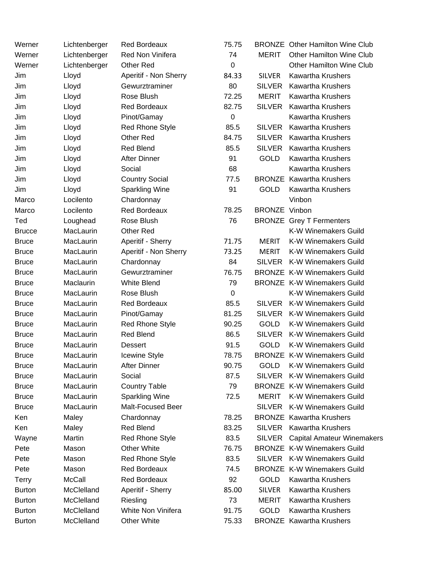| Werner        | Lichtenberger | <b>Red Bordeaux</b>    | 75.75            |                      | <b>BRONZE</b> Other Hamilton Wine Club |
|---------------|---------------|------------------------|------------------|----------------------|----------------------------------------|
| Werner        | Lichtenberger | Red Non Vinifera       | 74               | <b>MERIT</b>         | <b>Other Hamilton Wine Club</b>        |
| Werner        | Lichtenberger | <b>Other Red</b>       | $\boldsymbol{0}$ |                      | <b>Other Hamilton Wine Club</b>        |
| Jim           | Lloyd         | Aperitif - Non Sherry  | 84.33            | <b>SILVER</b>        | <b>Kawartha Krushers</b>               |
| Jim           | Lloyd         | Gewurztraminer         | 80               | <b>SILVER</b>        | <b>Kawartha Krushers</b>               |
| Jim           | Lloyd         | Rose Blush             | 72.25            | <b>MERIT</b>         | <b>Kawartha Krushers</b>               |
| Jim           | Lloyd         | <b>Red Bordeaux</b>    | 82.75            | <b>SILVER</b>        | <b>Kawartha Krushers</b>               |
| Jim           | Lloyd         | Pinot/Gamay            | $\mathbf 0$      |                      | <b>Kawartha Krushers</b>               |
| Jim           | Lloyd         | <b>Red Rhone Style</b> | 85.5             | <b>SILVER</b>        | <b>Kawartha Krushers</b>               |
| Jim           | Lloyd         | Other Red              | 84.75            | <b>SILVER</b>        | <b>Kawartha Krushers</b>               |
| Jim           | Lloyd         | <b>Red Blend</b>       | 85.5             | <b>SILVER</b>        | <b>Kawartha Krushers</b>               |
| Jim           | Lloyd         | After Dinner           | 91               | <b>GOLD</b>          | <b>Kawartha Krushers</b>               |
| Jim           | Lloyd         | Social                 | 68               |                      | <b>Kawartha Krushers</b>               |
| Jim           | Lloyd         | <b>Country Social</b>  | 77.5             |                      | <b>BRONZE</b> Kawartha Krushers        |
| Jim           | Lloyd         | <b>Sparkling Wine</b>  | 91               | <b>GOLD</b>          | Kawartha Krushers                      |
| Marco         | Locilento     | Chardonnay             |                  |                      | Vinbon                                 |
| Marco         | Locilento     | <b>Red Bordeaux</b>    | 78.25            | <b>BRONZE Vinbon</b> |                                        |
| Ted           | Loughead      | Rose Blush             | 76               |                      | <b>BRONZE</b> Grey T Fermenters        |
| <b>Brucce</b> | MacLaurin     | <b>Other Red</b>       |                  |                      | <b>K-W Winemakers Guild</b>            |
| <b>Bruce</b>  | MacLaurin     | Aperitif - Sherry      | 71.75            | <b>MERIT</b>         | K-W Winemakers Guild                   |
| <b>Bruce</b>  | MacLaurin     | Aperitif - Non Sherry  | 73.25            | <b>MERIT</b>         | K-W Winemakers Guild                   |
| <b>Bruce</b>  | MacLaurin     | Chardonnay             | 84               | <b>SILVER</b>        | <b>K-W Winemakers Guild</b>            |
| <b>Bruce</b>  | MacLaurin     | Gewurztraminer         | 76.75            |                      | <b>BRONZE K-W Winemakers Guild</b>     |
| <b>Bruce</b>  | Maclaurin     | <b>White Blend</b>     | 79               |                      | <b>BRONZE K-W Winemakers Guild</b>     |
| <b>Bruce</b>  | MacLaurin     | Rose Blush             | 0                |                      | K-W Winemakers Guild                   |
| <b>Bruce</b>  | MacLaurin     | <b>Red Bordeaux</b>    | 85.5             | <b>SILVER</b>        | <b>K-W Winemakers Guild</b>            |
| <b>Bruce</b>  | MacLaurin     | Pinot/Gamay            | 81.25            | <b>SILVER</b>        | <b>K-W Winemakers Guild</b>            |
| <b>Bruce</b>  | MacLaurin     | Red Rhone Style        | 90.25            | <b>GOLD</b>          | K-W Winemakers Guild                   |
| <b>Bruce</b>  | MacLaurin     | Red Blend              | 86.5             |                      | SILVER K-W Winemakers Guild            |
| <b>Bruce</b>  | MacLaurin     | <b>Dessert</b>         | 91.5             | <b>GOLD</b>          | K-W Winemakers Guild                   |
| <b>Bruce</b>  | MacLaurin     | Icewine Style          | 78.75            |                      | <b>BRONZE K-W Winemakers Guild</b>     |
| <b>Bruce</b>  | MacLaurin     | <b>After Dinner</b>    | 90.75            | <b>GOLD</b>          | <b>K-W Winemakers Guild</b>            |
| <b>Bruce</b>  | MacLaurin     | Social                 | 87.5             | <b>SILVER</b>        | <b>K-W Winemakers Guild</b>            |
| <b>Bruce</b>  | MacLaurin     | <b>Country Table</b>   | 79               |                      | <b>BRONZE K-W Winemakers Guild</b>     |
| <b>Bruce</b>  | MacLaurin     | <b>Sparkling Wine</b>  | 72.5             | <b>MERIT</b>         | <b>K-W Winemakers Guild</b>            |
| <b>Bruce</b>  | MacLaurin     | Malt-Focused Beer      |                  | <b>SILVER</b>        | <b>K-W Winemakers Guild</b>            |
| Ken           | Maley         | Chardonnay             | 78.25            |                      | <b>BRONZE</b> Kawartha Krushers        |
| Ken           | Maley         | <b>Red Blend</b>       | 83.25            | <b>SILVER</b>        | <b>Kawartha Krushers</b>               |
| Wayne         | Martin        | Red Rhone Style        | 83.5             | SILVER               | <b>Capital Amateur Winemakers</b>      |
| Pete          | Mason         | <b>Other White</b>     | 76.75            |                      | <b>BRONZE K-W Winemakers Guild</b>     |
| Pete          | Mason         | Red Rhone Style        | 83.5             |                      | SILVER K-W Winemakers Guild            |
| Pete          | Mason         | <b>Red Bordeaux</b>    | 74.5             |                      | <b>BRONZE K-W Winemakers Guild</b>     |
| <b>Terry</b>  | <b>McCall</b> | <b>Red Bordeaux</b>    | 92               | <b>GOLD</b>          | <b>Kawartha Krushers</b>               |
| <b>Burton</b> | McClelland    | Aperitif - Sherry      | 85.00            | <b>SILVER</b>        | <b>Kawartha Krushers</b>               |
| <b>Burton</b> | McClelland    | Riesling               | 73               | <b>MERIT</b>         | <b>Kawartha Krushers</b>               |
| <b>Burton</b> | McClelland    | White Non Vinifera     | 91.75            | GOLD                 | <b>Kawartha Krushers</b>               |
| <b>Burton</b> | McClelland    | <b>Other White</b>     | 75.33            |                      | <b>BRONZE</b> Kawartha Krushers        |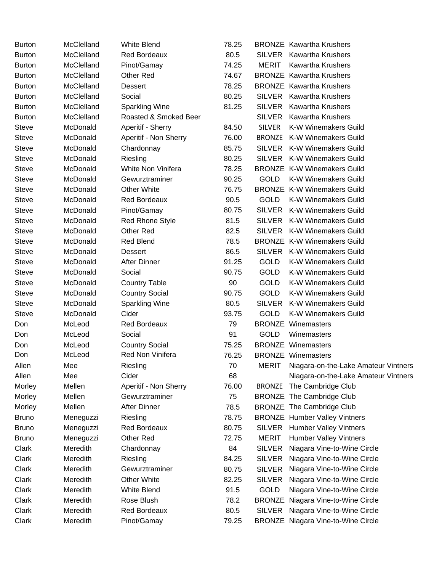| <b>Burton</b> | McClelland | <b>White Blend</b>     | 78.25 |               | <b>BRONZE</b> Kawartha Krushers           |
|---------------|------------|------------------------|-------|---------------|-------------------------------------------|
| <b>Burton</b> | McClelland | <b>Red Bordeaux</b>    | 80.5  |               | SILVER Kawartha Krushers                  |
| <b>Burton</b> | McClelland | Pinot/Gamay            | 74.25 | <b>MERIT</b>  | <b>Kawartha Krushers</b>                  |
| <b>Burton</b> | McClelland | Other Red              | 74.67 |               | <b>BRONZE</b> Kawartha Krushers           |
| <b>Burton</b> | McClelland | <b>Dessert</b>         | 78.25 |               | <b>BRONZE</b> Kawartha Krushers           |
| <b>Burton</b> | McClelland | Social                 | 80.25 |               | SILVER Kawartha Krushers                  |
| <b>Burton</b> | McClelland | <b>Sparkling Wine</b>  | 81.25 | <b>SILVER</b> | <b>Kawartha Krushers</b>                  |
| <b>Burton</b> | McClelland | Roasted & Smoked Beer  |       | <b>SILVER</b> | <b>Kawartha Krushers</b>                  |
| Steve         | McDonald   | Aperitif - Sherry      | 84.50 | <b>SILVER</b> | K-W Winemakers Guild                      |
| <b>Steve</b>  | McDonald   | Aperitif - Non Sherry  | 76.00 |               | <b>BRONZE</b> K-W Winemakers Guild        |
| <b>Steve</b>  | McDonald   | Chardonnay             | 85.75 |               | SILVER K-W Winemakers Guild               |
| <b>Steve</b>  | McDonald   | Riesling               | 80.25 |               | SILVER K-W Winemakers Guild               |
| <b>Steve</b>  | McDonald   | White Non Vinifera     | 78.25 |               | <b>BRONZE K-W Winemakers Guild</b>        |
| <b>Steve</b>  | McDonald   | Gewurztraminer         | 90.25 | <b>GOLD</b>   | K-W Winemakers Guild                      |
| <b>Steve</b>  | McDonald   | <b>Other White</b>     | 76.75 |               | <b>BRONZE K-W Winemakers Guild</b>        |
| <b>Steve</b>  | McDonald   | <b>Red Bordeaux</b>    | 90.5  | <b>GOLD</b>   | <b>K-W Winemakers Guild</b>               |
| <b>Steve</b>  | McDonald   | Pinot/Gamay            | 80.75 | SILVER        | <b>K-W Winemakers Guild</b>               |
| <b>Steve</b>  | McDonald   | <b>Red Rhone Style</b> | 81.5  |               | SILVER K-W Winemakers Guild               |
| <b>Steve</b>  | McDonald   | <b>Other Red</b>       | 82.5  |               | SILVER K-W Winemakers Guild               |
| <b>Steve</b>  | McDonald   | <b>Red Blend</b>       | 78.5  |               | <b>BRONZE K-W Winemakers Guild</b>        |
| <b>Steve</b>  | McDonald   | <b>Dessert</b>         | 86.5  |               | SILVER K-W Winemakers Guild               |
| <b>Steve</b>  | McDonald   | <b>After Dinner</b>    | 91.25 | <b>GOLD</b>   | <b>K-W Winemakers Guild</b>               |
| <b>Steve</b>  | McDonald   | Social                 | 90.75 | <b>GOLD</b>   | <b>K-W Winemakers Guild</b>               |
| Steve         | McDonald   | <b>Country Table</b>   | 90    | <b>GOLD</b>   | <b>K-W Winemakers Guild</b>               |
| <b>Steve</b>  | McDonald   | <b>Country Social</b>  | 90.75 | <b>GOLD</b>   | K-W Winemakers Guild                      |
| <b>Steve</b>  | McDonald   | Sparkling Wine         | 80.5  | <b>SILVER</b> | <b>K-W Winemakers Guild</b>               |
| <b>Steve</b>  | McDonald   | Cider                  | 93.75 | <b>GOLD</b>   | <b>K-W Winemakers Guild</b>               |
| Don           | McLeod     | <b>Red Bordeaux</b>    | 79    |               | <b>BRONZE Winemasters</b>                 |
| Don           | McLeod     | Social                 | 91    | <b>GOLD</b>   | Winemasters                               |
| Don           | McLeod     | <b>Country Social</b>  | 75.25 |               | <b>BRONZE Winemasters</b>                 |
| Don           | McLeod     | Red Non Vinifera       | 76.25 |               | <b>BRONZE Winemasters</b>                 |
| Allen         | Mee        | Riesling               | 70    | <b>MERIT</b>  | Niagara-on-the-Lake Amateur Vintners      |
| Allen         | Mee        | Cider                  | 68    |               | Niagara-on-the-Lake Amateur Vintners      |
| Morley        | Mellen     | Aperitif - Non Sherry  | 76.00 | <b>BRONZE</b> | The Cambridge Club                        |
| Morley        | Mellen     | Gewurztraminer         | 75    |               | <b>BRONZE</b> The Cambridge Club          |
| Morley        | Mellen     | <b>After Dinner</b>    | 78.5  |               | <b>BRONZE</b> The Cambridge Club          |
| <b>Bruno</b>  | Meneguzzi  | Riesling               | 78.75 |               | <b>BRONZE</b> Humber Valley Vintners      |
| <b>Bruno</b>  | Meneguzzi  | <b>Red Bordeaux</b>    | 80.75 |               | SILVER Humber Valley Vintners             |
| <b>Bruno</b>  | Meneguzzi  | Other Red              | 72.75 | <b>MERIT</b>  | <b>Humber Valley Vintners</b>             |
| Clark         | Meredith   | Chardonnay             | 84    | <b>SILVER</b> | Niagara Vine-to-Wine Circle               |
| Clark         | Meredith   | Riesling               | 84.25 | <b>SILVER</b> | Niagara Vine-to-Wine Circle               |
| Clark         | Meredith   | Gewurztraminer         | 80.75 | <b>SILVER</b> | Niagara Vine-to-Wine Circle               |
| Clark         | Meredith   | <b>Other White</b>     | 82.25 | <b>SILVER</b> | Niagara Vine-to-Wine Circle               |
| Clark         | Meredith   | <b>White Blend</b>     | 91.5  | <b>GOLD</b>   | Niagara Vine-to-Wine Circle               |
| Clark         | Meredith   | Rose Blush             | 78.2  |               | BRONZE Niagara Vine-to-Wine Circle        |
| Clark         | Meredith   | Red Bordeaux           | 80.5  | <b>SILVER</b> | Niagara Vine-to-Wine Circle               |
| Clark         | Meredith   | Pinot/Gamay            | 79.25 |               | <b>BRONZE</b> Niagara Vine-to-Wine Circle |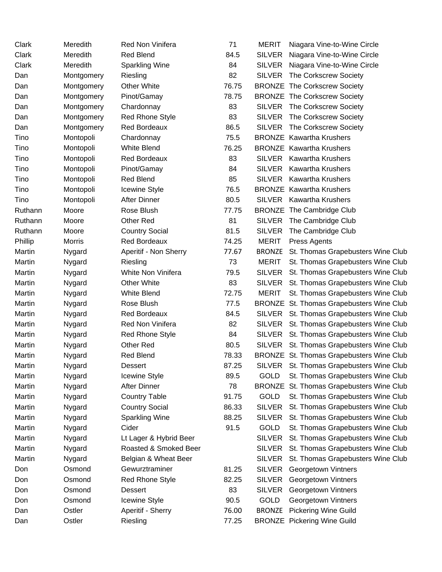| Clark   | Meredith      | Red Non Vinifera       | 71    | <b>MERIT</b>  | Niagara Vine-to-Wine Circle              |
|---------|---------------|------------------------|-------|---------------|------------------------------------------|
| Clark   | Meredith      | <b>Red Blend</b>       | 84.5  | <b>SILVER</b> | Niagara Vine-to-Wine Circle              |
| Clark   | Meredith      | <b>Sparkling Wine</b>  | 84    | SILVER        | Niagara Vine-to-Wine Circle              |
| Dan     | Montgomery    | Riesling               | 82    | SILVER        | The Corkscrew Society                    |
| Dan     | Montgomery    | <b>Other White</b>     | 76.75 |               | <b>BRONZE</b> The Corkscrew Society      |
| Dan     | Montgomery    | Pinot/Gamay            | 78.75 |               | <b>BRONZE</b> The Corkscrew Society      |
| Dan     | Montgomery    | Chardonnay             | 83    |               | SILVER The Corkscrew Society             |
| Dan     | Montgomery    | <b>Red Rhone Style</b> | 83    | <b>SILVER</b> | The Corkscrew Society                    |
| Dan     | Montgomery    | <b>Red Bordeaux</b>    | 86.5  |               | SILVER The Corkscrew Society             |
| Tino    | Montopoli     | Chardonnay             | 75.5  |               | <b>BRONZE</b> Kawartha Krushers          |
| Tino    | Montopoli     | White Blend            | 76.25 |               | <b>BRONZE</b> Kawartha Krushers          |
| Tino    | Montopoli     | Red Bordeaux           | 83    |               | SILVER Kawartha Krushers                 |
| Tino    | Montopoli     | Pinot/Gamay            | 84    |               | SILVER Kawartha Krushers                 |
| Tino    | Montopoli     | <b>Red Blend</b>       | 85    |               | SILVER Kawartha Krushers                 |
| Tino    | Montopoli     | <b>Icewine Style</b>   | 76.5  |               | <b>BRONZE</b> Kawartha Krushers          |
| Tino    | Montopoli     | <b>After Dinner</b>    | 80.5  |               | SILVER Kawartha Krushers                 |
| Ruthann | Moore         | Rose Blush             | 77.75 |               | <b>BRONZE</b> The Cambridge Club         |
| Ruthann | Moore         | Other Red              | 81    |               | SILVER The Cambridge Club                |
| Ruthann | Moore         | <b>Country Social</b>  | 81.5  | <b>SILVER</b> | The Cambridge Club                       |
| Phillip | <b>Morris</b> | <b>Red Bordeaux</b>    | 74.25 | <b>MERIT</b>  | Press Agents                             |
| Martin  | Nygard        | Aperitif - Non Sherry  | 77.67 | <b>BRONZE</b> | St. Thomas Grapebusters Wine Club        |
| Martin  | Nygard        | Riesling               | 73    | <b>MERIT</b>  | St. Thomas Grapebusters Wine Club        |
| Martin  | Nygard        | White Non Vinifera     | 79.5  |               | SILVER St. Thomas Grapebusters Wine Club |
| Martin  | Nygard        | <b>Other White</b>     | 83    | <b>SILVER</b> | St. Thomas Grapebusters Wine Club        |
| Martin  | Nygard        | <b>White Blend</b>     | 72.75 | <b>MERIT</b>  | St. Thomas Grapebusters Wine Club        |
| Martin  | Nygard        | Rose Blush             | 77.5  |               | BRONZE St. Thomas Grapebusters Wine Club |
| Martin  | Nygard        | Red Bordeaux           | 84.5  |               | SILVER St. Thomas Grapebusters Wine Club |
| Martin  | Nygard        | Red Non Vinifera       | 82    |               | SILVER St. Thomas Grapebusters Wine Club |
| Martin  | Nygard        | <b>Red Rhone Style</b> | 84    |               | SILVER St. Thomas Grapebusters Wine Club |
| Martin  | Nygard        | Other Red              | 80.5  |               | SILVER St. Thomas Grapebusters Wine Club |
| Martin  | Nygard        | <b>Red Blend</b>       | 78.33 |               | BRONZE St. Thomas Grapebusters Wine Club |
| Martin  | Nygard        | Dessert                | 87.25 |               | SILVER St. Thomas Grapebusters Wine Club |
| Martin  | Nygard        | <b>Icewine Style</b>   | 89.5  | <b>GOLD</b>   | St. Thomas Grapebusters Wine Club        |
| Martin  | Nygard        | <b>After Dinner</b>    | 78    |               | BRONZE St. Thomas Grapebusters Wine Club |
| Martin  | Nygard        | <b>Country Table</b>   | 91.75 | <b>GOLD</b>   | St. Thomas Grapebusters Wine Club        |
| Martin  | Nygard        | <b>Country Social</b>  | 86.33 | <b>SILVER</b> | St. Thomas Grapebusters Wine Club        |
| Martin  | Nygard        | <b>Sparkling Wine</b>  | 88.25 | <b>SILVER</b> | St. Thomas Grapebusters Wine Club        |
| Martin  | Nygard        | Cider                  | 91.5  | GOLD          | St. Thomas Grapebusters Wine Club        |
| Martin  | Nygard        | Lt Lager & Hybrid Beer |       | <b>SILVER</b> | St. Thomas Grapebusters Wine Club        |
| Martin  | Nygard        | Roasted & Smoked Beer  |       | <b>SILVER</b> | St. Thomas Grapebusters Wine Club        |
| Martin  | Nygard        | Belgian & Wheat Beer   |       | <b>SILVER</b> | St. Thomas Grapebusters Wine Club        |
| Don     | Osmond        | Gewurztraminer         | 81.25 | <b>SILVER</b> | Georgetown Vintners                      |
| Don     | Osmond        | <b>Red Rhone Style</b> | 82.25 | <b>SILVER</b> | Georgetown Vintners                      |
| Don     | Osmond        | Dessert                | 83    | <b>SILVER</b> | Georgetown Vintners                      |
| Don     | Osmond        | Icewine Style          | 90.5  | <b>GOLD</b>   | Georgetown Vintners                      |
| Dan     | Ostler        | Aperitif - Sherry      | 76.00 | <b>BRONZE</b> | <b>Pickering Wine Guild</b>              |
| Dan     | Ostler        | Riesling               | 77.25 |               | <b>BRONZE</b> Pickering Wine Guild       |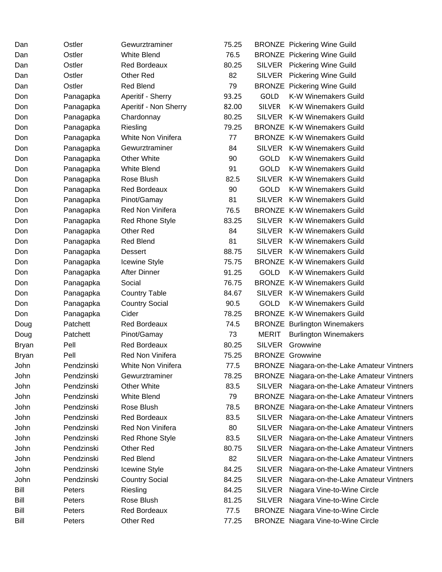| Dan   | Ostler     | Gewurztraminer         | 75.25 |               | <b>BRONZE</b> Pickering Wine Guild          |
|-------|------------|------------------------|-------|---------------|---------------------------------------------|
| Dan   | Ostler     | <b>White Blend</b>     | 76.5  |               | <b>BRONZE</b> Pickering Wine Guild          |
| Dan   | Ostler     | <b>Red Bordeaux</b>    | 80.25 |               | SILVER Pickering Wine Guild                 |
| Dan   | Ostler     | Other Red              | 82    | <b>SILVER</b> | <b>Pickering Wine Guild</b>                 |
| Dan   | Ostler     | <b>Red Blend</b>       | 79    |               | <b>BRONZE</b> Pickering Wine Guild          |
| Don   | Panagapka  | Aperitif - Sherry      | 93.25 | GOLD          | K-W Winemakers Guild                        |
| Don   | Panagapka  | Aperitif - Non Sherry  | 82.00 | <b>SILVER</b> | <b>K-W Winemakers Guild</b>                 |
| Don   | Panagapka  | Chardonnay             | 80.25 |               | SILVER K-W Winemakers Guild                 |
| Don   | Panagapka  | Riesling               | 79.25 |               | <b>BRONZE K-W Winemakers Guild</b>          |
| Don   | Panagapka  | White Non Vinifera     | 77    |               | <b>BRONZE K-W Winemakers Guild</b>          |
| Don   | Panagapka  | Gewurztraminer         | 84    |               | SILVER K-W Winemakers Guild                 |
| Don   | Panagapka  | Other White            | 90    | <b>GOLD</b>   | K-W Winemakers Guild                        |
| Don   | Panagapka  | <b>White Blend</b>     | 91    | <b>GOLD</b>   | <b>K-W Winemakers Guild</b>                 |
| Don   | Panagapka  | Rose Blush             | 82.5  | <b>SILVER</b> | K-W Winemakers Guild                        |
| Don   | Panagapka  | <b>Red Bordeaux</b>    | 90    | <b>GOLD</b>   | K-W Winemakers Guild                        |
| Don   | Panagapka  | Pinot/Gamay            | 81    |               | SILVER K-W Winemakers Guild                 |
| Don   | Panagapka  | Red Non Vinifera       | 76.5  |               | <b>BRONZE K-W Winemakers Guild</b>          |
| Don   | Panagapka  | <b>Red Rhone Style</b> | 83.25 |               | SILVER K-W Winemakers Guild                 |
| Don   | Panagapka  | <b>Other Red</b>       | 84    | <b>SILVER</b> | <b>K-W Winemakers Guild</b>                 |
| Don   | Panagapka  | <b>Red Blend</b>       | 81    | SILVER        | <b>K-W Winemakers Guild</b>                 |
| Don   | Panagapka  | <b>Dessert</b>         | 88.75 |               | SILVER K-W Winemakers Guild                 |
| Don   | Panagapka  | Icewine Style          | 75.75 |               | <b>BRONZE K-W Winemakers Guild</b>          |
| Don   | Panagapka  | <b>After Dinner</b>    | 91.25 | <b>GOLD</b>   | <b>K-W Winemakers Guild</b>                 |
| Don   | Panagapka  | Social                 | 76.75 |               | <b>BRONZE K-W Winemakers Guild</b>          |
| Don   | Panagapka  | <b>Country Table</b>   | 84.67 |               | SILVER K-W Winemakers Guild                 |
| Don   | Panagapka  | <b>Country Social</b>  | 90.5  | <b>GOLD</b>   | <b>K-W Winemakers Guild</b>                 |
| Don   | Panagapka  | Cider                  | 78.25 |               | <b>BRONZE K-W Winemakers Guild</b>          |
| Doug  | Patchett   | <b>Red Bordeaux</b>    | 74.5  |               | <b>BRONZE</b> Burlington Winemakers         |
| Doug  | Patchett   | Pinot/Gamay            | 73    | <b>MERIT</b>  | <b>Burlington Winemakers</b>                |
| Bryan | Pell       | <b>Red Bordeaux</b>    | 80.25 | <b>SILVER</b> | Growwine                                    |
| Bryan | Pell       | Red Non Vinifera       | 75.25 |               | <b>BRONZE Growwine</b>                      |
| John  | Pendzinski | White Non Vinifera     | 77.5  |               | BRONZE Niagara-on-the-Lake Amateur Vintners |
| John  | Pendzinski | Gewurztraminer         | 78.25 |               | BRONZE Niagara-on-the-Lake Amateur Vintners |
| John  | Pendzinski | <b>Other White</b>     | 83.5  | SILVER        | Niagara-on-the-Lake Amateur Vintners        |
| John  | Pendzinski | <b>White Blend</b>     | 79    |               | BRONZE Niagara-on-the-Lake Amateur Vintners |
| John  | Pendzinski | Rose Blush             | 78.5  |               | BRONZE Niagara-on-the-Lake Amateur Vintners |
| John  | Pendzinski | <b>Red Bordeaux</b>    | 83.5  | <b>SILVER</b> | Niagara-on-the-Lake Amateur Vintners        |
| John  | Pendzinski | Red Non Vinifera       | 80    | <b>SILVER</b> | Niagara-on-the-Lake Amateur Vintners        |
| John  | Pendzinski | <b>Red Rhone Style</b> | 83.5  | <b>SILVER</b> | Niagara-on-the-Lake Amateur Vintners        |
| John  | Pendzinski | Other Red              | 80.75 | <b>SILVER</b> | Niagara-on-the-Lake Amateur Vintners        |
| John  | Pendzinski | Red Blend              | 82    | <b>SILVER</b> | Niagara-on-the-Lake Amateur Vintners        |
| John  | Pendzinski | <b>Icewine Style</b>   | 84.25 | <b>SILVER</b> | Niagara-on-the-Lake Amateur Vintners        |
| John  | Pendzinski | <b>Country Social</b>  | 84.25 | <b>SILVER</b> | Niagara-on-the-Lake Amateur Vintners        |
| Bill  | Peters     | Riesling               | 84.25 | <b>SILVER</b> | Niagara Vine-to-Wine Circle                 |
| Bill  | Peters     | Rose Blush             | 81.25 | <b>SILVER</b> | Niagara Vine-to-Wine Circle                 |
| Bill  | Peters     | Red Bordeaux           | 77.5  |               | <b>BRONZE</b> Niagara Vine-to-Wine Circle   |
| Bill  | Peters     | Other Red              | 77.25 |               | <b>BRONZE</b> Niagara Vine-to-Wine Circle   |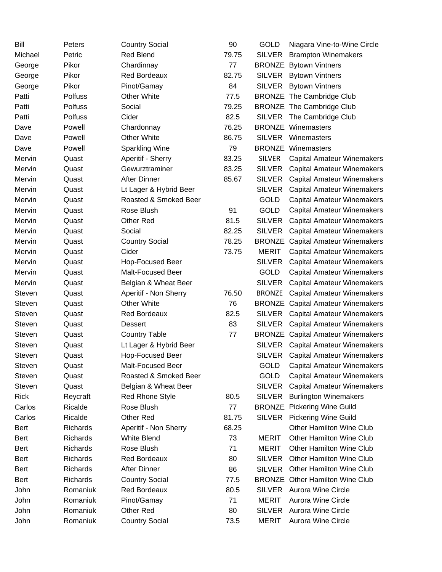| Bill          | Peters         | <b>Country Social</b>    | 90    | <b>GOLD</b>   | Niagara Vine-to-Wine Circle              |
|---------------|----------------|--------------------------|-------|---------------|------------------------------------------|
| Michael       | Petric         | <b>Red Blend</b>         | 79.75 | <b>SILVER</b> | <b>Brampton Winemakers</b>               |
| George        | Pikor          | Chardinnay               | 77    |               | <b>BRONZE</b> Bytown Vintners            |
| George        | Pikor          | <b>Red Bordeaux</b>      | 82.75 | <b>SILVER</b> | <b>Bytown Vintners</b>                   |
| George        | Pikor          | Pinot/Gamay              | 84    | <b>SILVER</b> | <b>Bytown Vintners</b>                   |
| Patti         | <b>Polfuss</b> | <b>Other White</b>       | 77.5  |               | <b>BRONZE</b> The Cambridge Club         |
| Patti         | Polfuss        | Social                   | 79.25 |               | <b>BRONZE</b> The Cambridge Club         |
| Patti         | Polfuss        | Cider                    | 82.5  |               | SILVER The Cambridge Club                |
| Dave          | Powell         | Chardonnay               | 76.25 |               | <b>BRONZE Winemasters</b>                |
| Dave          | Powell         | <b>Other White</b>       | 86.75 | <b>SILVER</b> | Winemasters                              |
| Dave          | Powell         | <b>Sparkling Wine</b>    | 79    |               | <b>BRONZE Winemasters</b>                |
| Mervin        | Quast          | Aperitif - Sherry        | 83.25 | <b>SILVER</b> | <b>Capital Amateur Winemakers</b>        |
| Mervin        | Quast          | Gewurztraminer           | 83.25 | <b>SILVER</b> | <b>Capital Amateur Winemakers</b>        |
| Mervin        | Quast          | <b>After Dinner</b>      | 85.67 | <b>SILVER</b> | <b>Capital Amateur Winemakers</b>        |
| Mervin        | Quast          | Lt Lager & Hybrid Beer   |       | <b>SILVER</b> | <b>Capital Amateur Winemakers</b>        |
| Mervin        | Quast          | Roasted & Smoked Beer    |       | <b>GOLD</b>   | <b>Capital Amateur Winemakers</b>        |
| Mervin        | Quast          | Rose Blush               | 91    | <b>GOLD</b>   | <b>Capital Amateur Winemakers</b>        |
| Mervin        | Quast          | Other Red                | 81.5  | <b>SILVER</b> | <b>Capital Amateur Winemakers</b>        |
| Mervin        | Quast          | Social                   | 82.25 | <b>SILVER</b> | <b>Capital Amateur Winemakers</b>        |
| Mervin        | Quast          | <b>Country Social</b>    | 78.25 |               | <b>BRONZE</b> Capital Amateur Winemakers |
| Mervin        | Quast          | Cider                    | 73.75 | <b>MERIT</b>  | <b>Capital Amateur Winemakers</b>        |
| Mervin        | Quast          | Hop-Focused Beer         |       | <b>SILVER</b> | <b>Capital Amateur Winemakers</b>        |
| Mervin        | Quast          | <b>Malt-Focused Beer</b> |       | <b>GOLD</b>   | <b>Capital Amateur Winemakers</b>        |
| Mervin        | Quast          | Belgian & Wheat Beer     |       | <b>SILVER</b> | <b>Capital Amateur Winemakers</b>        |
| <b>Steven</b> | Quast          | Aperitif - Non Sherry    | 76.50 | <b>BRONZE</b> | <b>Capital Amateur Winemakers</b>        |
| <b>Steven</b> | Quast          | <b>Other White</b>       | 76    |               | <b>BRONZE</b> Capital Amateur Winemakers |
| <b>Steven</b> | Quast          | Red Bordeaux             | 82.5  | <b>SILVER</b> | <b>Capital Amateur Winemakers</b>        |
| Steven        | Quast          | <b>Dessert</b>           | 83    | SILVER        | <b>Capital Amateur Winemakers</b>        |
| <b>Steven</b> | Quast          | <b>Country Table</b>     | 77    |               | <b>BRONZE</b> Capital Amateur Winemakers |
| Steven        | Quast          | Lt Lager & Hybrid Beer   |       | <b>SILVER</b> | <b>Capital Amateur Winemakers</b>        |
| <b>Steven</b> | Quast          | Hop-Focused Beer         |       |               | SILVER Capital Amateur Winemakers        |
| Steven        | Quast          | Malt-Focused Beer        |       | GOLD          | <b>Capital Amateur Winemakers</b>        |
| Steven        | Quast          | Roasted & Smoked Beer    |       | <b>GOLD</b>   | <b>Capital Amateur Winemakers</b>        |
| Steven        | Quast          | Belgian & Wheat Beer     |       | <b>SILVER</b> | <b>Capital Amateur Winemakers</b>        |
| <b>Rick</b>   | Reycraft       | Red Rhone Style          | 80.5  | <b>SILVER</b> | <b>Burlington Winemakers</b>             |
| Carlos        | Ricalde        | Rose Blush               | 77    |               | <b>BRONZE</b> Pickering Wine Guild       |
| Carlos        | Ricalde        | Other Red                | 81.75 | <b>SILVER</b> | <b>Pickering Wine Guild</b>              |
| Bert          | Richards       | Aperitif - Non Sherry    | 68.25 |               | <b>Other Hamilton Wine Club</b>          |
| Bert          | Richards       | <b>White Blend</b>       | 73    | <b>MERIT</b>  | <b>Other Hamilton Wine Club</b>          |
| Bert          | Richards       | Rose Blush               | 71    | <b>MERIT</b>  | <b>Other Hamilton Wine Club</b>          |
| Bert          | Richards       | <b>Red Bordeaux</b>      | 80    | <b>SILVER</b> | <b>Other Hamilton Wine Club</b>          |
| Bert          | Richards       | <b>After Dinner</b>      | 86    | <b>SILVER</b> | <b>Other Hamilton Wine Club</b>          |
| Bert          | Richards       | <b>Country Social</b>    | 77.5  |               | <b>BRONZE</b> Other Hamilton Wine Club   |
| John          | Romaniuk       | <b>Red Bordeaux</b>      | 80.5  |               | SILVER Aurora Wine Circle                |
| John          | Romaniuk       | Pinot/Gamay              | 71    | <b>MERIT</b>  | <b>Aurora Wine Circle</b>                |
| John          | Romaniuk       | Other Red                | 80    | <b>SILVER</b> | <b>Aurora Wine Circle</b>                |
| John          | Romaniuk       | <b>Country Social</b>    | 73.5  | <b>MERIT</b>  | Aurora Wine Circle                       |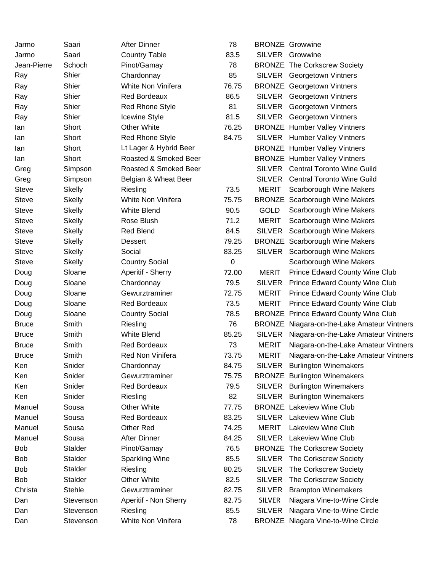| Jarmo        | Saari         | <b>After Dinner</b>    | 78    |               | <b>BRONZE</b> Growwine                       |
|--------------|---------------|------------------------|-------|---------------|----------------------------------------------|
| Jarmo        | Saari         | <b>Country Table</b>   | 83.5  |               | SILVER Growwine                              |
| Jean-Pierre  | Schoch        | Pinot/Gamay            | 78    |               | <b>BRONZE The Corkscrew Society</b>          |
| Ray          | Shier         | Chardonnay             | 85    |               | <b>SILVER</b> Georgetown Vintners            |
| Ray          | Shier         | White Non Vinifera     | 76.75 |               | <b>BRONZE</b> Georgetown Vintners            |
| Ray          | Shier         | <b>Red Bordeaux</b>    | 86.5  |               | SILVER Georgetown Vintners                   |
| Ray          | Shier         | Red Rhone Style        | 81    | SILVER        | Georgetown Vintners                          |
| Ray          | Shier         | <b>Icewine Style</b>   | 81.5  |               | SILVER Georgetown Vintners                   |
| lan          | Short         | <b>Other White</b>     | 76.25 |               | <b>BRONZE</b> Humber Valley Vintners         |
| lan          | Short         | <b>Red Rhone Style</b> | 84.75 |               | SILVER Humber Valley Vintners                |
| lan          | Short         | Lt Lager & Hybrid Beer |       |               | <b>BRONZE</b> Humber Valley Vintners         |
| lan          | Short         | Roasted & Smoked Beer  |       |               | <b>BRONZE</b> Humber Valley Vintners         |
| Greg         | Simpson       | Roasted & Smoked Beer  |       |               | SILVER Central Toronto Wine Guild            |
| Greg         | Simpson       | Belgian & Wheat Beer   |       |               | SILVER Central Toronto Wine Guild            |
| Steve        | <b>Skelly</b> | Riesling               | 73.5  | <b>MERIT</b>  | Scarborough Wine Makers                      |
| <b>Steve</b> | <b>Skelly</b> | White Non Vinifera     | 75.75 |               | <b>BRONZE</b> Scarborough Wine Makers        |
| <b>Steve</b> | <b>Skelly</b> | <b>White Blend</b>     | 90.5  | <b>GOLD</b>   | Scarborough Wine Makers                      |
| <b>Steve</b> | <b>Skelly</b> | Rose Blush             | 71.2  | <b>MERIT</b>  | Scarborough Wine Makers                      |
| Steve        | <b>Skelly</b> | <b>Red Blend</b>       | 84.5  | <b>SILVER</b> | Scarborough Wine Makers                      |
| <b>Steve</b> | <b>Skelly</b> | Dessert                | 79.25 |               | <b>BRONZE</b> Scarborough Wine Makers        |
| Steve        | <b>Skelly</b> | Social                 | 83.25 |               | SILVER Scarborough Wine Makers               |
| Steve        | <b>Skelly</b> | <b>Country Social</b>  | 0     |               | Scarborough Wine Makers                      |
| Doug         | Sloane        | Aperitif - Sherry      | 72.00 | <b>MERIT</b>  | Prince Edward County Wine Club               |
| Doug         | Sloane        | Chardonnay             | 79.5  | <b>SILVER</b> | Prince Edward County Wine Club               |
| Doug         | Sloane        | Gewurztraminer         | 72.75 | <b>MERIT</b>  | <b>Prince Edward County Wine Club</b>        |
| Doug         | Sloane        | Red Bordeaux           | 73.5  | <b>MERIT</b>  | Prince Edward County Wine Club               |
| Doug         | Sloane        | <b>Country Social</b>  | 78.5  |               | <b>BRONZE Prince Edward County Wine Club</b> |
| <b>Bruce</b> | Smith         | Riesling               | 76    |               | BRONZE Niagara-on-the-Lake Amateur Vintners  |
| <b>Bruce</b> | Smith         | White Blend            | 85.25 | <b>SILVER</b> | Niagara-on-the-Lake Amateur Vintners         |
| <b>Bruce</b> | Smith         | <b>Red Bordeaux</b>    | 73    | <b>MERIT</b>  | Niagara-on-the-Lake Amateur Vintners         |
| <b>Bruce</b> | Smith         | Red Non Vinifera       | 73.75 | <b>MERIT</b>  | Niagara-on-the-Lake Amateur Vintners         |
| Ken          | Snider        | Chardonnay             | 84.75 |               | SILVER Burlington Winemakers                 |
| Ken          | Snider        | Gewurztraminer         | 75.75 |               | <b>BRONZE</b> Burlington Winemakers          |
| Ken          | Snider        | <b>Red Bordeaux</b>    | 79.5  | <b>SILVER</b> | <b>Burlington Winemakers</b>                 |
| Ken          | Snider        | Riesling               | 82    | <b>SILVER</b> | <b>Burlington Winemakers</b>                 |
| Manuel       | Sousa         | <b>Other White</b>     | 77.75 |               | <b>BRONZE</b> Lakeview Wine Club             |
| Manuel       | Sousa         | Red Bordeaux           | 83.25 |               | SILVER Lakeview Wine Club                    |
| Manuel       | Sousa         | Other Red              | 74.25 | <b>MERIT</b>  | Lakeview Wine Club                           |
| Manuel       | Sousa         | <b>After Dinner</b>    | 84.25 | <b>SILVER</b> | <b>Lakeview Wine Club</b>                    |
| Bob          | Stalder       | Pinot/Gamay            | 76.5  |               | <b>BRONZE The Corkscrew Society</b>          |
| Bob          | Stalder       | <b>Sparkling Wine</b>  | 85.5  |               | SILVER The Corkscrew Society                 |
| Bob          | Stalder       | Riesling               | 80.25 | <b>SILVER</b> | The Corkscrew Society                        |
| Bob          | Stalder       | <b>Other White</b>     | 82.5  | <b>SILVER</b> | The Corkscrew Society                        |
| Christa      | <b>Stehle</b> | Gewurztraminer         | 82.75 | <b>SILVER</b> | <b>Brampton Winemakers</b>                   |
| Dan          | Stevenson     | Aperitif - Non Sherry  | 82.75 | <b>SILVER</b> | Niagara Vine-to-Wine Circle                  |
| Dan          | Stevenson     | Riesling               | 85.5  | <b>SILVER</b> | Niagara Vine-to-Wine Circle                  |
| Dan          | Stevenson     | White Non Vinifera     | 78    |               | <b>BRONZE</b> Niagara Vine-to-Wine Circle    |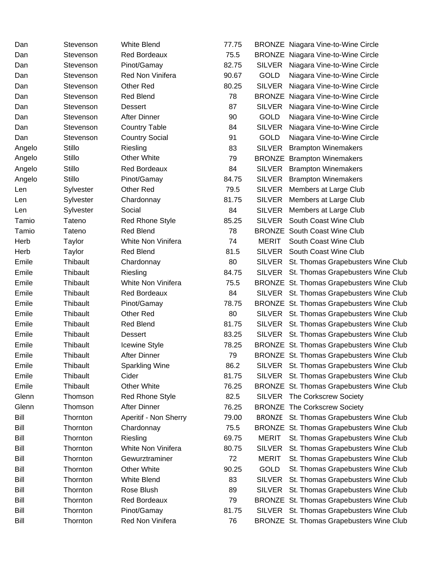| Dan    | Stevenson       | <b>White Blend</b>     | 77.75 |               | <b>BRONZE</b> Niagara Vine-to-Wine Circle |
|--------|-----------------|------------------------|-------|---------------|-------------------------------------------|
| Dan    | Stevenson       | <b>Red Bordeaux</b>    | 75.5  |               | <b>BRONZE</b> Niagara Vine-to-Wine Circle |
| Dan    | Stevenson       | Pinot/Gamay            | 82.75 | SILVER        | Niagara Vine-to-Wine Circle               |
| Dan    | Stevenson       | Red Non Vinifera       | 90.67 | <b>GOLD</b>   | Niagara Vine-to-Wine Circle               |
| Dan    | Stevenson       | Other Red              | 80.25 | <b>SILVER</b> | Niagara Vine-to-Wine Circle               |
| Dan    | Stevenson       | <b>Red Blend</b>       | 78    |               | <b>BRONZE</b> Niagara Vine-to-Wine Circle |
| Dan    | Stevenson       | <b>Dessert</b>         | 87    | <b>SILVER</b> | Niagara Vine-to-Wine Circle               |
| Dan    | Stevenson       | <b>After Dinner</b>    | 90    | <b>GOLD</b>   | Niagara Vine-to-Wine Circle               |
| Dan    | Stevenson       | <b>Country Table</b>   | 84    | <b>SILVER</b> | Niagara Vine-to-Wine Circle               |
| Dan    | Stevenson       | <b>Country Social</b>  | 91    | GOLD          | Niagara Vine-to-Wine Circle               |
| Angelo | Stillo          | Riesling               | 83    | <b>SILVER</b> | <b>Brampton Winemakers</b>                |
| Angelo | Stillo          | <b>Other White</b>     | 79    |               | <b>BRONZE</b> Brampton Winemakers         |
| Angelo | Stillo          | Red Bordeaux           | 84    |               | SILVER Brampton Winemakers                |
| Angelo | Stillo          | Pinot/Gamay            | 84.75 | <b>SILVER</b> | <b>Brampton Winemakers</b>                |
| Len    | Sylvester       | Other Red              | 79.5  | <b>SILVER</b> | Members at Large Club                     |
| Len    | Sylvester       | Chardonnay             | 81.75 | <b>SILVER</b> | Members at Large Club                     |
| Len    | Sylvester       | Social                 | 84    | <b>SILVER</b> | Members at Large Club                     |
| Tamio  | Tateno          | <b>Red Rhone Style</b> | 85.25 |               | SILVER South Coast Wine Club              |
| Tamio  | Tateno          | <b>Red Blend</b>       | 78    |               | <b>BRONZE</b> South Coast Wine Club       |
| Herb   | Taylor          | White Non Vinifera     | 74    | <b>MERIT</b>  | South Coast Wine Club                     |
| Herb   | Taylor          | <b>Red Blend</b>       | 81.5  |               | SILVER South Coast Wine Club              |
| Emile  | Thibault        | Chardonnay             | 80    |               | SILVER St. Thomas Grapebusters Wine Club  |
| Emile  | Thibault        | Riesling               | 84.75 |               | SILVER St. Thomas Grapebusters Wine Club  |
| Emile  | Thibault        | White Non Vinifera     | 75.5  |               | BRONZE St. Thomas Grapebusters Wine Club  |
| Emile  | Thibault        | Red Bordeaux           | 84    |               | SILVER St. Thomas Grapebusters Wine Club  |
| Emile  | Thibault        | Pinot/Gamay            | 78.75 |               | BRONZE St. Thomas Grapebusters Wine Club  |
| Emile  | Thibault        | Other Red              | 80    |               | SILVER St. Thomas Grapebusters Wine Club  |
| Emile  | Thibault        | <b>Red Blend</b>       | 81.75 |               | SILVER St. Thomas Grapebusters Wine Club  |
| Emile  | Thibault        | <b>Dessert</b>         | 83.25 |               | SILVER St. Thomas Grapebusters Wine Club  |
| Emile  | Thibault        | <b>Icewine Style</b>   | 78.25 |               | BRONZE St. Thomas Grapebusters Wine Club  |
| Emile  | Thibault        | <b>After Dinner</b>    | 79    |               | BRONZE St. Thomas Grapebusters Wine Club  |
| Emile  | <b>Thibault</b> | <b>Sparkling Wine</b>  | 86.2  |               | SILVER St. Thomas Grapebusters Wine Club  |
| Emile  | Thibault        | Cider                  | 81.75 |               | SILVER St. Thomas Grapebusters Wine Club  |
| Emile  | Thibault        | <b>Other White</b>     | 76.25 |               | BRONZE St. Thomas Grapebusters Wine Club  |
| Glenn  | Thomson         | <b>Red Rhone Style</b> | 82.5  |               | SILVER The Corkscrew Society              |
| Glenn  | Thomson         | After Dinner           | 76.25 |               | <b>BRONZE</b> The Corkscrew Society       |
| Bill   | Thornton        | Aperitif - Non Sherry  | 79.00 |               | BRONZE St. Thomas Grapebusters Wine Club  |
| Bill   | Thornton        | Chardonnay             | 75.5  |               | BRONZE St. Thomas Grapebusters Wine Club  |
| Bill   | Thornton        | Riesling               | 69.75 | <b>MERIT</b>  | St. Thomas Grapebusters Wine Club         |
| Bill   | Thornton        | White Non Vinifera     | 80.75 | <b>SILVER</b> | St. Thomas Grapebusters Wine Club         |
| Bill   | Thornton        | Gewurztraminer         | 72    | <b>MERIT</b>  | St. Thomas Grapebusters Wine Club         |
| Bill   | Thornton        | <b>Other White</b>     | 90.25 | <b>GOLD</b>   | St. Thomas Grapebusters Wine Club         |
| Bill   | Thornton        | <b>White Blend</b>     | 83    | <b>SILVER</b> | St. Thomas Grapebusters Wine Club         |
| Bill   | Thornton        | Rose Blush             | 89    |               | SILVER St. Thomas Grapebusters Wine Club  |
| Bill   | Thornton        | <b>Red Bordeaux</b>    | 79    |               | BRONZE St. Thomas Grapebusters Wine Club  |
| Bill   | Thornton        | Pinot/Gamay            | 81.75 |               | SILVER St. Thomas Grapebusters Wine Club  |
| Bill   | Thornton        | Red Non Vinifera       | 76    |               | BRONZE St. Thomas Grapebusters Wine Club  |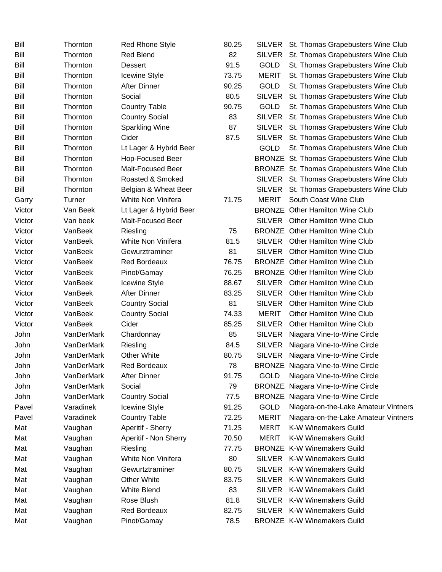| Bill   | Thornton   | <b>Red Rhone Style</b>   | 80.25 |               | SILVER St. Thomas Grapebusters Wine Club  |
|--------|------------|--------------------------|-------|---------------|-------------------------------------------|
| Bill   | Thornton   | <b>Red Blend</b>         | 82    | <b>SILVER</b> | St. Thomas Grapebusters Wine Club         |
| Bill   | Thornton   | Dessert                  | 91.5  | GOLD          | St. Thomas Grapebusters Wine Club         |
| Bill   | Thornton   | Icewine Style            | 73.75 | <b>MERIT</b>  | St. Thomas Grapebusters Wine Club         |
| Bill   | Thornton   | <b>After Dinner</b>      | 90.25 | <b>GOLD</b>   | St. Thomas Grapebusters Wine Club         |
| Bill   | Thornton   | Social                   | 80.5  | <b>SILVER</b> | St. Thomas Grapebusters Wine Club         |
| Bill   | Thornton   | <b>Country Table</b>     | 90.75 | GOLD          | St. Thomas Grapebusters Wine Club         |
| Bill   | Thornton   | <b>Country Social</b>    | 83    | <b>SILVER</b> | St. Thomas Grapebusters Wine Club         |
| Bill   | Thornton   | <b>Sparkling Wine</b>    | 87    | <b>SILVER</b> | St. Thomas Grapebusters Wine Club         |
| Bill   | Thornton   | Cider                    | 87.5  | <b>SILVER</b> | St. Thomas Grapebusters Wine Club         |
| Bill   | Thornton   | Lt Lager & Hybrid Beer   |       | <b>GOLD</b>   | St. Thomas Grapebusters Wine Club         |
| Bill   | Thornton   | Hop-Focused Beer         |       |               | BRONZE St. Thomas Grapebusters Wine Club  |
| Bill   | Thornton   | Malt-Focused Beer        |       |               | BRONZE St. Thomas Grapebusters Wine Club  |
| Bill   | Thornton   | Roasted & Smoked         |       |               | SILVER St. Thomas Grapebusters Wine Club  |
| Bill   | Thornton   | Belgian & Wheat Beer     |       |               | SILVER St. Thomas Grapebusters Wine Club  |
| Garry  | Turner     | White Non Vinifera       | 71.75 | <b>MERIT</b>  | South Coast Wine Club                     |
| Victor | Van Beek   | Lt Lager & Hybrid Beer   |       |               | <b>BRONZE</b> Other Hamilton Wine Club    |
| Victor | Van beek   | <b>Malt-Focused Beer</b> |       |               | SILVER Other Hamilton Wine Club           |
| Victor | VanBeek    | Riesling                 | 75    |               | <b>BRONZE</b> Other Hamilton Wine Club    |
| Victor | VanBeek    | White Non Vinifera       | 81.5  | <b>SILVER</b> | <b>Other Hamilton Wine Club</b>           |
| Victor | VanBeek    | Gewurztraminer           | 81    | <b>SILVER</b> | <b>Other Hamilton Wine Club</b>           |
| Victor | VanBeek    | <b>Red Bordeaux</b>      | 76.75 |               | <b>BRONZE</b> Other Hamilton Wine Club    |
| Victor | VanBeek    | Pinot/Gamay              | 76.25 |               | <b>BRONZE</b> Other Hamilton Wine Club    |
| Victor | VanBeek    | Icewine Style            | 88.67 | <b>SILVER</b> | Other Hamilton Wine Club                  |
| Victor | VanBeek    | <b>After Dinner</b>      | 83.25 | <b>SILVER</b> | <b>Other Hamilton Wine Club</b>           |
| Victor | VanBeek    | <b>Country Social</b>    | 81    | <b>SILVER</b> | <b>Other Hamilton Wine Club</b>           |
| Victor | VanBeek    | <b>Country Social</b>    | 74.33 | <b>MERIT</b>  | <b>Other Hamilton Wine Club</b>           |
| Victor | VanBeek    | Cider                    | 85.25 | <b>SILVER</b> | <b>Other Hamilton Wine Club</b>           |
| John   | VanDerMark | Chardonnay               | 85    | <b>SILVER</b> | Niagara Vine-to-Wine Circle               |
| John   | VanDerMark | Riesling                 | 84.5  | <b>SILVER</b> | Niagara Vine-to-Wine Circle               |
| John   | VanDerMark | <b>Other White</b>       | 80.75 | <b>SILVER</b> | Niagara Vine-to-Wine Circle               |
| John   | VanDerMark | <b>Red Bordeaux</b>      | 78    |               | <b>BRONZE</b> Niagara Vine-to-Wine Circle |
| John   | VanDerMark | <b>After Dinner</b>      | 91.75 | <b>GOLD</b>   | Niagara Vine-to-Wine Circle               |
| John   | VanDerMark | Social                   | 79    | <b>BRONZE</b> | Niagara Vine-to-Wine Circle               |
| John   | VanDerMark | <b>Country Social</b>    | 77.5  |               | <b>BRONZE</b> Niagara Vine-to-Wine Circle |
| Pavel  | Varadinek  | <b>Icewine Style</b>     | 91.25 | <b>GOLD</b>   | Niagara-on-the-Lake Amateur Vintners      |
| Pavel  | Varadinek  | <b>Country Table</b>     | 72.25 | <b>MERIT</b>  | Niagara-on-the-Lake Amateur Vintners      |
| Mat    | Vaughan    | Aperitif - Sherry        | 71.25 | <b>MERIT</b>  | K-W Winemakers Guild                      |
| Mat    | Vaughan    | Aperitif - Non Sherry    | 70.50 | <b>MERIT</b>  | K-W Winemakers Guild                      |
| Mat    | Vaughan    | Riesling                 | 77.75 |               | <b>BRONZE K-W Winemakers Guild</b>        |
| Mat    | Vaughan    | White Non Vinifera       | 80    | <b>SILVER</b> | <b>K-W Winemakers Guild</b>               |
| Mat    | Vaughan    | Gewurtztraminer          | 80.75 | <b>SILVER</b> | <b>K-W Winemakers Guild</b>               |
| Mat    | Vaughan    | <b>Other White</b>       | 83.75 | <b>SILVER</b> | <b>K-W Winemakers Guild</b>               |
| Mat    | Vaughan    | White Blend              | 83    | <b>SILVER</b> | K-W Winemakers Guild                      |
| Mat    | Vaughan    | Rose Blush               | 81.8  | <b>SILVER</b> | <b>K-W Winemakers Guild</b>               |
| Mat    | Vaughan    | <b>Red Bordeaux</b>      | 82.75 | SILVER        | <b>K-W Winemakers Guild</b>               |
| Mat    | Vaughan    | Pinot/Gamay              | 78.5  |               | <b>BRONZE K-W Winemakers Guild</b>        |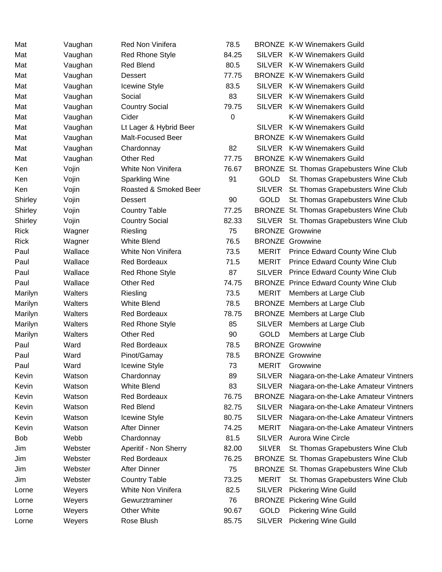| Mat         | Vaughan | Red Non Vinifera       | 78.5  |               | <b>BRONZE K-W Winemakers Guild</b>           |
|-------------|---------|------------------------|-------|---------------|----------------------------------------------|
| Mat         | Vaughan | <b>Red Rhone Style</b> | 84.25 |               | SILVER K-W Winemakers Guild                  |
| Mat         | Vaughan | <b>Red Blend</b>       | 80.5  |               | SILVER K-W Winemakers Guild                  |
| Mat         | Vaughan | <b>Dessert</b>         | 77.75 |               | <b>BRONZE K-W Winemakers Guild</b>           |
| Mat         | Vaughan | <b>Icewine Style</b>   | 83.5  |               | SILVER K-W Winemakers Guild                  |
| Mat         | Vaughan | Social                 | 83    |               | SILVER K-W Winemakers Guild                  |
| Mat         | Vaughan | <b>Country Social</b>  | 79.75 |               | SILVER K-W Winemakers Guild                  |
| Mat         | Vaughan | Cider                  | 0     |               | K-W Winemakers Guild                         |
| Mat         | Vaughan | Lt Lager & Hybrid Beer |       | <b>SILVER</b> | <b>K-W Winemakers Guild</b>                  |
| Mat         | Vaughan | Malt-Focused Beer      |       |               | <b>BRONZE K-W Winemakers Guild</b>           |
| Mat         | Vaughan | Chardonnay             | 82    |               | SILVER K-W Winemakers Guild                  |
| Mat         | Vaughan | Other Red              | 77.75 |               | <b>BRONZE K-W Winemakers Guild</b>           |
| Ken         | Vojin   | White Non Vinifera     | 76.67 |               | BRONZE St. Thomas Grapebusters Wine Club     |
| Ken         | Vojin   | <b>Sparkling Wine</b>  | 91    | <b>GOLD</b>   | St. Thomas Grapebusters Wine Club            |
| Ken         | Vojin   | Roasted & Smoked Beer  |       |               | SILVER St. Thomas Grapebusters Wine Club     |
| Shirley     | Vojin   | Dessert                | 90    | <b>GOLD</b>   | St. Thomas Grapebusters Wine Club            |
| Shirley     | Vojin   | <b>Country Table</b>   | 77.25 |               | BRONZE St. Thomas Grapebusters Wine Club     |
| Shirley     | Vojin   | <b>Country Social</b>  | 82.33 |               | SILVER St. Thomas Grapebusters Wine Club     |
| <b>Rick</b> | Wagner  | Riesling               | 75    |               | <b>BRONZE Growwine</b>                       |
| <b>Rick</b> | Wagner  | <b>White Blend</b>     | 76.5  |               | <b>BRONZE</b> Growwine                       |
| Paul        | Wallace | White Non Vinifera     | 73.5  | <b>MERIT</b>  | Prince Edward County Wine Club               |
| Paul        | Wallace | <b>Red Bordeaux</b>    | 71.5  | <b>MERIT</b>  | <b>Prince Edward County Wine Club</b>        |
| Paul        | Wallace | <b>Red Rhone Style</b> | 87    | <b>SILVER</b> | Prince Edward County Wine Club               |
| Paul        | Wallace | Other Red              | 74.75 |               | <b>BRONZE Prince Edward County Wine Club</b> |
| Marilyn     | Walters | Riesling               | 73.5  | <b>MERIT</b>  | Members at Large Club                        |
| Marilyn     | Walters | <b>White Blend</b>     | 78.5  |               | BRONZE Members at Large Club                 |
| Marilyn     | Walters | <b>Red Bordeaux</b>    | 78.75 |               | BRONZE Members at Large Club                 |
| Marilyn     | Walters | <b>Red Rhone Style</b> | 85    |               | SILVER Members at Large Club                 |
| Marilyn     | Walters | Other Red              | 90    | <b>GOLD</b>   | Members at Large Club                        |
| Paul        | Ward    | <b>Red Bordeaux</b>    | 78.5  |               | <b>BRONZE Growwine</b>                       |
| Paul        | Ward    | Pinot/Gamay            | 78.5  |               | <b>BRONZE Growwine</b>                       |
| Paul        | Ward    | <b>Icewine Style</b>   | 73    | <b>MERIT</b>  | Growwine                                     |
| Kevin       | Watson  | Chardonnay             | 89    | <b>SILVER</b> | Niagara-on-the-Lake Amateur Vintners         |
| Kevin       | Watson  | <b>White Blend</b>     | 83    | <b>SILVER</b> | Niagara-on-the-Lake Amateur Vintners         |
| Kevin       | Watson  | <b>Red Bordeaux</b>    | 76.75 |               | BRONZE Niagara-on-the-Lake Amateur Vintners  |
| Kevin       | Watson  | Red Blend              | 82.75 | <b>SILVER</b> | Niagara-on-the-Lake Amateur Vintners         |
| Kevin       | Watson  | Icewine Style          | 80.75 | <b>SILVER</b> | Niagara-on-the-Lake Amateur Vintners         |
| Kevin       | Watson  | <b>After Dinner</b>    | 74.25 | <b>MERIT</b>  | Niagara-on-the-Lake Amateur Vintners         |
| Bob         | Webb    | Chardonnay             | 81.5  | <b>SILVER</b> | <b>Aurora Wine Circle</b>                    |
| Jim         | Webster | Aperitif - Non Sherry  | 82.00 | <b>SILVER</b> | St. Thomas Grapebusters Wine Club            |
| Jim         | Webster | <b>Red Bordeaux</b>    | 76.25 |               | BRONZE St. Thomas Grapebusters Wine Club     |
| Jim         | Webster | <b>After Dinner</b>    | 75    |               | BRONZE St. Thomas Grapebusters Wine Club     |
| Jim         | Webster | <b>Country Table</b>   | 73.25 | <b>MERIT</b>  | St. Thomas Grapebusters Wine Club            |
| Lorne       | Weyers  | White Non Vinifera     | 82.5  | <b>SILVER</b> | <b>Pickering Wine Guild</b>                  |
| Lorne       | Weyers  | Gewurztraminer         | 76    |               | <b>BRONZE</b> Pickering Wine Guild           |
| Lorne       | Weyers  | <b>Other White</b>     | 90.67 | <b>GOLD</b>   | <b>Pickering Wine Guild</b>                  |
| Lorne       | Weyers  | Rose Blush             | 85.75 | <b>SILVER</b> | <b>Pickering Wine Guild</b>                  |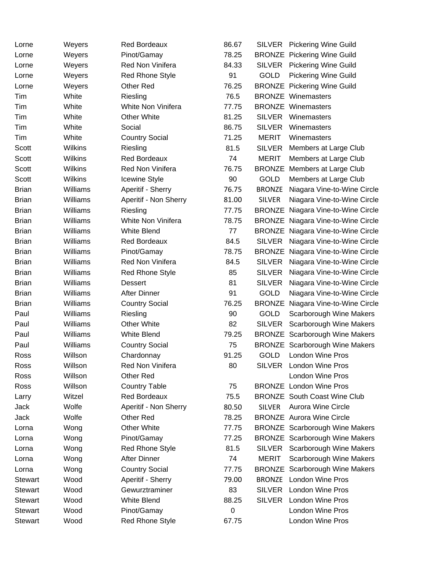| Lorne          | Weyers   | <b>Red Bordeaux</b>    | 86.67       |               | SILVER Pickering Wine Guild               |
|----------------|----------|------------------------|-------------|---------------|-------------------------------------------|
| Lorne          | Weyers   | Pinot/Gamay            | 78.25       |               | <b>BRONZE</b> Pickering Wine Guild        |
| Lorne          | Weyers   | Red Non Vinifera       | 84.33       |               | SILVER Pickering Wine Guild               |
| Lorne          | Weyers   | <b>Red Rhone Style</b> | 91          | <b>GOLD</b>   | <b>Pickering Wine Guild</b>               |
| Lorne          | Weyers   | Other Red              | 76.25       |               | <b>BRONZE</b> Pickering Wine Guild        |
| Tim            | White    | Riesling               | 76.5        |               | <b>BRONZE Winemasters</b>                 |
| Tim            | White    | White Non Vinifera     | 77.75       |               | <b>BRONZE Winemasters</b>                 |
| Tim            | White    | <b>Other White</b>     | 81.25       | <b>SILVER</b> | Winemasters                               |
| Tim            | White    | Social                 | 86.75       | <b>SILVER</b> | Winemasters                               |
| Tim            | White    | <b>Country Social</b>  | 71.25       | <b>MERIT</b>  | Winemasters                               |
| Scott          | Wilkins  | Riesling               | 81.5        | <b>SILVER</b> | Members at Large Club                     |
| Scott          | Wilkins  | <b>Red Bordeaux</b>    | 74          | <b>MERIT</b>  | Members at Large Club                     |
| Scott          | Wilkins  | Red Non Vinifera       | 76.75       |               | BRONZE Members at Large Club              |
| Scott          | Wilkins  | Icewine Style          | 90          | <b>GOLD</b>   | Members at Large Club                     |
| <b>Brian</b>   | Williams | Aperitif - Sherry      | 76.75       | <b>BRONZE</b> | Niagara Vine-to-Wine Circle               |
| <b>Brian</b>   | Williams | Aperitif - Non Sherry  | 81.00       | <b>SILVER</b> | Niagara Vine-to-Wine Circle               |
| <b>Brian</b>   | Williams | Riesling               | 77.75       |               | <b>BRONZE</b> Niagara Vine-to-Wine Circle |
| <b>Brian</b>   | Williams | White Non Vinifera     | 78.75       |               | <b>BRONZE</b> Niagara Vine-to-Wine Circle |
| <b>Brian</b>   | Williams | <b>White Blend</b>     | 77          |               | <b>BRONZE</b> Niagara Vine-to-Wine Circle |
| <b>Brian</b>   | Williams | Red Bordeaux           | 84.5        | <b>SILVER</b> | Niagara Vine-to-Wine Circle               |
| <b>Brian</b>   | Williams | Pinot/Gamay            | 78.75       |               | <b>BRONZE</b> Niagara Vine-to-Wine Circle |
| <b>Brian</b>   | Williams | Red Non Vinifera       | 84.5        | <b>SILVER</b> | Niagara Vine-to-Wine Circle               |
| <b>Brian</b>   | Williams | Red Rhone Style        | 85          | <b>SILVER</b> | Niagara Vine-to-Wine Circle               |
| <b>Brian</b>   | Williams | <b>Dessert</b>         | 81          | <b>SILVER</b> | Niagara Vine-to-Wine Circle               |
| <b>Brian</b>   | Williams | <b>After Dinner</b>    | 91          | <b>GOLD</b>   | Niagara Vine-to-Wine Circle               |
| <b>Brian</b>   | Williams | <b>Country Social</b>  | 76.25       |               | <b>BRONZE</b> Niagara Vine-to-Wine Circle |
| Paul           | Williams | Riesling               | 90          | <b>GOLD</b>   | Scarborough Wine Makers                   |
| Paul           | Williams | <b>Other White</b>     | 82          | <b>SILVER</b> | Scarborough Wine Makers                   |
| Paul           | Williams | <b>White Blend</b>     | 79.25       |               | <b>BRONZE</b> Scarborough Wine Makers     |
| Paul           | Williams | <b>Country Social</b>  | 75          |               | <b>BRONZE</b> Scarborough Wine Makers     |
| Ross           | Willson  | Chardonnay             | 91.25       | <b>GOLD</b>   | London Wine Pros                          |
| Ross           | Willson  | Red Non Vinifera       | 80          | <b>SILVER</b> | <b>London Wine Pros</b>                   |
| Ross           | Willson  | Other Red              |             |               | London Wine Pros                          |
| Ross           | Willson  | <b>Country Table</b>   | 75          |               | <b>BRONZE</b> London Wine Pros            |
| Larry          | Witzel   | <b>Red Bordeaux</b>    | 75.5        |               | <b>BRONZE</b> South Coast Wine Club       |
| Jack           | Wolfe    | Aperitif - Non Sherry  | 80.50       | <b>SILVER</b> | <b>Aurora Wine Circle</b>                 |
| Jack           | Wolfe    | Other Red              | 78.25       |               | <b>BRONZE</b> Aurora Wine Circle          |
| Lorna          | Wong     | <b>Other White</b>     | 77.75       |               | <b>BRONZE</b> Scarborough Wine Makers     |
| Lorna          | Wong     | Pinot/Gamay            | 77.25       |               | <b>BRONZE</b> Scarborough Wine Makers     |
| Lorna          | Wong     | <b>Red Rhone Style</b> | 81.5        | <b>SILVER</b> | Scarborough Wine Makers                   |
| Lorna          | Wong     | <b>After Dinner</b>    | 74          | <b>MERIT</b>  | Scarborough Wine Makers                   |
| Lorna          | Wong     | <b>Country Social</b>  | 77.75       |               | <b>BRONZE</b> Scarborough Wine Makers     |
| <b>Stewart</b> | Wood     | Aperitif - Sherry      | 79.00       | <b>BRONZE</b> | <b>London Wine Pros</b>                   |
| <b>Stewart</b> | Wood     | Gewurztraminer         | 83          | <b>SILVER</b> | <b>London Wine Pros</b>                   |
| <b>Stewart</b> | Wood     | <b>White Blend</b>     | 88.25       | <b>SILVER</b> | <b>London Wine Pros</b>                   |
| <b>Stewart</b> | Wood     | Pinot/Gamay            | $\mathbf 0$ |               | <b>London Wine Pros</b>                   |
| <b>Stewart</b> | Wood     | <b>Red Rhone Style</b> | 67.75       |               | London Wine Pros                          |